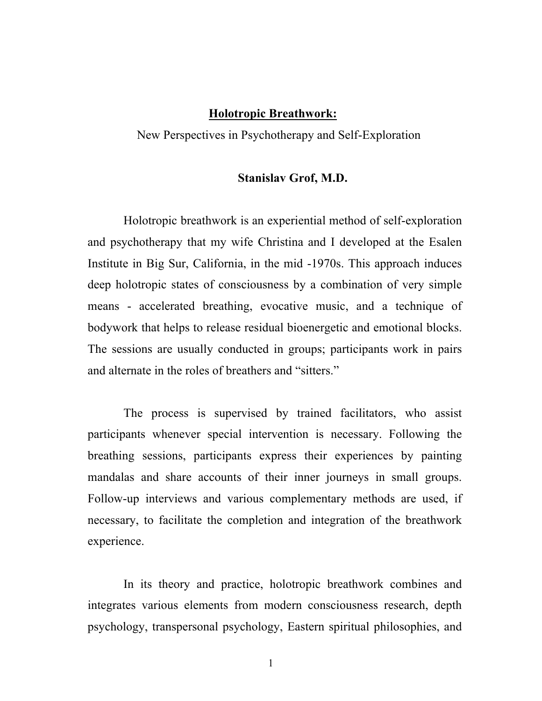### **Holotropic Breathwork:**

New Perspectives in Psychotherapy and Self-Exploration

## **Stanislav Grof, M.D.**

Holotropic breathwork is an experiential method of self-exploration and psychotherapy that my wife Christina and I developed at the Esalen Institute in Big Sur, California, in the mid -1970s. This approach induces deep holotropic states of consciousness by a combination of very simple means - accelerated breathing, evocative music, and a technique of bodywork that helps to release residual bioenergetic and emotional blocks. The sessions are usually conducted in groups; participants work in pairs and alternate in the roles of breathers and "sitters."

The process is supervised by trained facilitators, who assist participants whenever special intervention is necessary. Following the breathing sessions, participants express their experiences by painting mandalas and share accounts of their inner journeys in small groups. Follow-up interviews and various complementary methods are used, if necessary, to facilitate the completion and integration of the breathwork experience.

In its theory and practice, holotropic breathwork combines and integrates various elements from modern consciousness research, depth psychology, transpersonal psychology, Eastern spiritual philosophies, and

1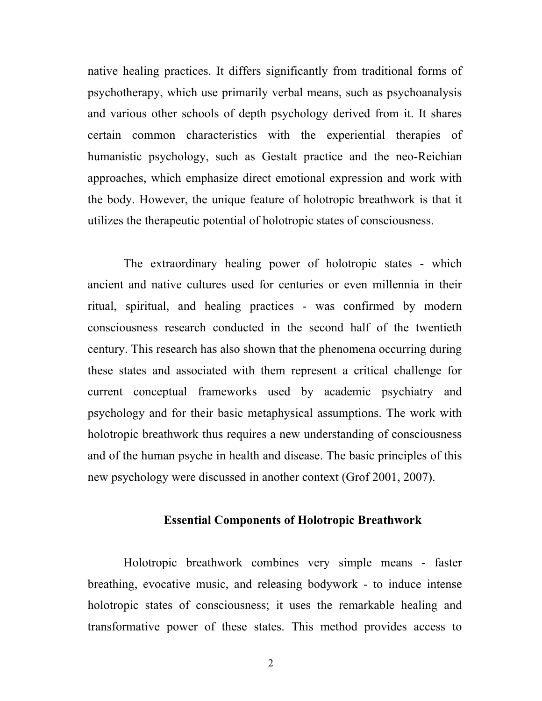native healing practices. It differs significantly from traditional forms of psychotherapy, which use primarily verbal means, such as psychoanalysis and various other schools of depth psychology derived from it. It shares certain common characteristics with the experiential therapies of humanistic psychology, such as Gestalt practice and the neo-Reichian approaches, which emphasize direct emotional expression and work with the body. However, the unique feature of holotropic breathwork is that it utilizes the therapeutic potential of holotropic states of consciousness.

The extraordinary healing power of holotropic states - which ancient and native cultures used for centuries or even millennia in their ritual, spiritual, and healing practices - was confirmed by modern consciousness research conducted in the second half of the twentieth century. This research has also shown that the phenomena occurring during these states and associated with them represent a critical challenge for current conceptual frameworks used by academic psychiatry and psychology and for their basic metaphysical assumptions. The work with holotropic breathwork thus requires a new understanding of consciousness and of the human psyche in health and disease. The basic principles of this new psychology were discussed in another context (Grof 2001, 2007).

#### **Essential Components of Holotropic Breathwork**

Holotropic breathwork combines very simple means - faster breathing, evocative music, and releasing bodywork - to induce intense holotropic states of consciousness; it uses the remarkable healing and transformative power of these states. This method provides access to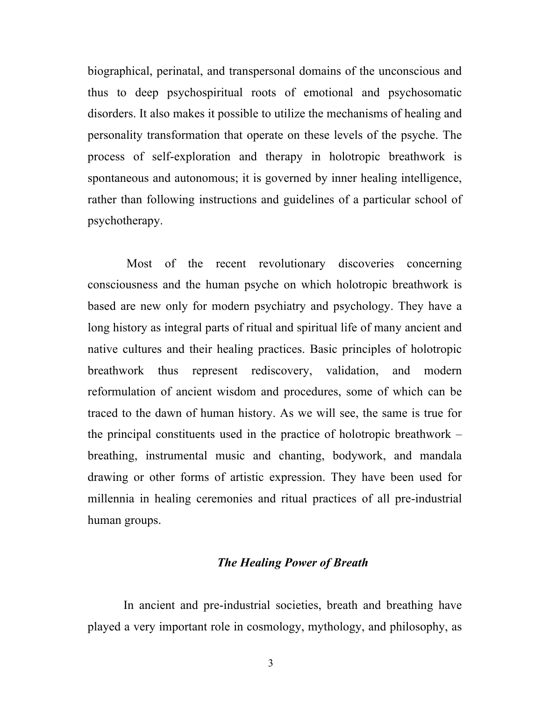biographical, perinatal, and transpersonal domains of the unconscious and thus to deep psychospiritual roots of emotional and psychosomatic disorders. It also makes it possible to utilize the mechanisms of healing and personality transformation that operate on these levels of the psyche. The process of self-exploration and therapy in holotropic breathwork is spontaneous and autonomous; it is governed by inner healing intelligence, rather than following instructions and guidelines of a particular school of psychotherapy.

 Most of the recent revolutionary discoveries concerning consciousness and the human psyche on which holotropic breathwork is based are new only for modern psychiatry and psychology. They have a long history as integral parts of ritual and spiritual life of many ancient and native cultures and their healing practices. Basic principles of holotropic breathwork thus represent rediscovery, validation, and modern reformulation of ancient wisdom and procedures, some of which can be traced to the dawn of human history. As we will see, the same is true for the principal constituents used in the practice of holotropic breathwork – breathing, instrumental music and chanting, bodywork, and mandala drawing or other forms of artistic expression. They have been used for millennia in healing ceremonies and ritual practices of all pre-industrial human groups.

# *The Healing Power of Breath*

In ancient and pre-industrial societies, breath and breathing have played a very important role in cosmology, mythology, and philosophy, as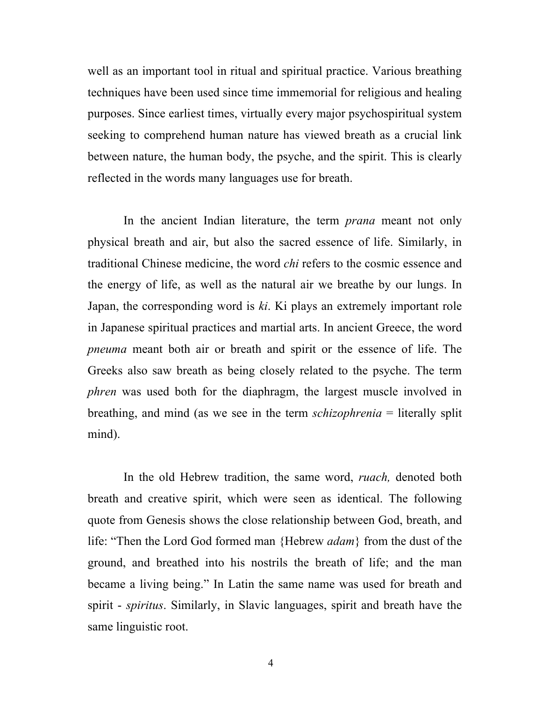well as an important tool in ritual and spiritual practice. Various breathing techniques have been used since time immemorial for religious and healing purposes. Since earliest times, virtually every major psychospiritual system seeking to comprehend human nature has viewed breath as a crucial link between nature, the human body, the psyche, and the spirit. This is clearly reflected in the words many languages use for breath.

In the ancient Indian literature, the term *prana* meant not only physical breath and air, but also the sacred essence of life. Similarly, in traditional Chinese medicine, the word *chi* refers to the cosmic essence and the energy of life, as well as the natural air we breathe by our lungs. In Japan, the corresponding word is *ki*. Ki plays an extremely important role in Japanese spiritual practices and martial arts. In ancient Greece, the word *pneuma* meant both air or breath and spirit or the essence of life. The Greeks also saw breath as being closely related to the psyche. The term *phren* was used both for the diaphragm, the largest muscle involved in breathing, and mind (as we see in the term *schizophrenia* = literally split mind).

In the old Hebrew tradition, the same word, *ruach,* denoted both breath and creative spirit, which were seen as identical. The following quote from Genesis shows the close relationship between God, breath, and life: "Then the Lord God formed man {Hebrew *adam*} from the dust of the ground, and breathed into his nostrils the breath of life; and the man became a living being." In Latin the same name was used for breath and spirit - *spiritus*. Similarly, in Slavic languages, spirit and breath have the same linguistic root.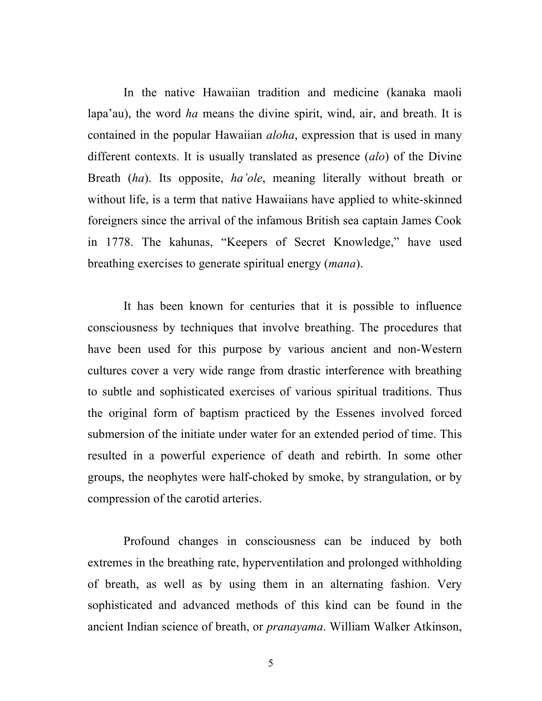In the native Hawaiian tradition and medicine (kanaka maoli lapa'au), the word *ha* means the divine spirit, wind, air, and breath. It is contained in the popular Hawaiian *aloha*, expression that is used in many different contexts. It is usually translated as presence (*alo*) of the Divine Breath (*ha*). Its opposite, *ha'ole*, meaning literally without breath or without life, is a term that native Hawaiians have applied to white-skinned foreigners since the arrival of the infamous British sea captain James Cook in 1778. The kahunas, "Keepers of Secret Knowledge," have used breathing exercises to generate spiritual energy (*mana*).

It has been known for centuries that it is possible to influence consciousness by techniques that involve breathing. The procedures that have been used for this purpose by various ancient and non-Western cultures cover a very wide range from drastic interference with breathing to subtle and sophisticated exercises of various spiritual traditions. Thus the original form of baptism practiced by the Essenes involved forced submersion of the initiate under water for an extended period of time. This resulted in a powerful experience of death and rebirth. In some other groups, the neophytes were half-choked by smoke, by strangulation, or by compression of the carotid arteries.

Profound changes in consciousness can be induced by both extremes in the breathing rate, hyperventilation and prolonged withholding of breath, as well as by using them in an alternating fashion. Very sophisticated and advanced methods of this kind can be found in the ancient Indian science of breath, or *pranayama*. William Walker Atkinson,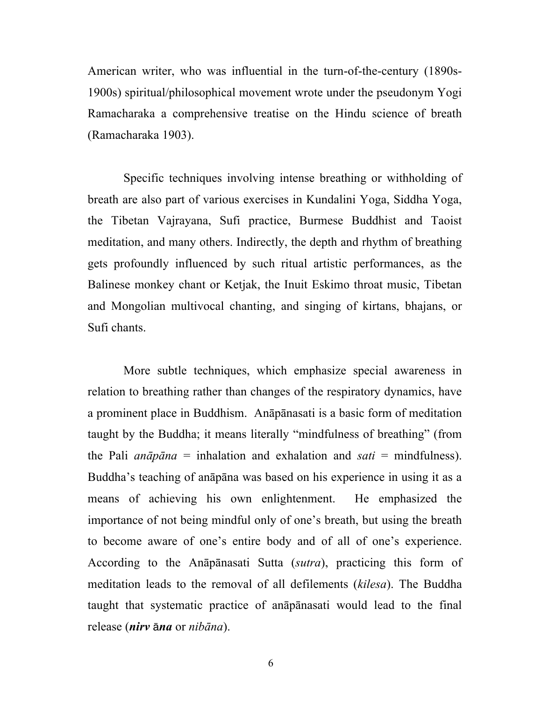American writer, who was influential in the turn-of-the-century (1890s-1900s) spiritual/philosophical movement wrote under the pseudonym Yogi Ramacharaka a comprehensive treatise on the Hindu science of breath (Ramacharaka 1903).

Specific techniques involving intense breathing or withholding of breath are also part of various exercises in Kundalini Yoga, Siddha Yoga, the Tibetan Vajrayana, Sufi practice, Burmese Buddhist and Taoist meditation, and many others. Indirectly, the depth and rhythm of breathing gets profoundly influenced by such ritual artistic performances, as the Balinese monkey chant or Ketjak, the Inuit Eskimo throat music, Tibetan and Mongolian multivocal chanting, and singing of kirtans, bhajans, or Sufi chants.

More subtle techniques, which emphasize special awareness in relation to breathing rather than changes of the respiratory dynamics, have a prominent place in Buddhism. Anāpānasati is a basic form of meditation taught by the Buddha; it means literally "mindfulness of breathing" (from the Pali *an* $\bar{a}$ *p* $\bar{a}$ *na* = inhalation and exhalation and *sati* = mindfulness). Buddha's teaching of anāpāna was based on his experience in using it as a means of achieving his own enlightenment. He emphasized the importance of not being mindful only of one's breath, but using the breath to become aware of one's entire body and of all of one's experience. According to the Anāpānasati Sutta (*sutra*), practicing this form of meditation leads to the removal of all defilements (*kilesa*). The Buddha taught that systematic practice of anāpānasati would lead to the final release (*nirv* ā*na* or *nibāna*).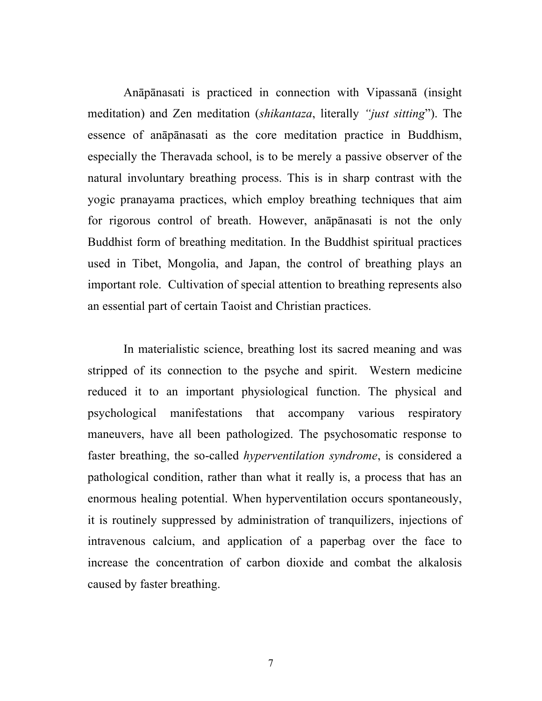Anāpānasati is practiced in connection with Vipassanā (insight meditation) and Zen meditation (*shikantaza*, literally *"just sitting*"). The essence of anāpānasati as the core meditation practice in Buddhism, especially the Theravada school, is to be merely a passive observer of the natural involuntary breathing process. This is in sharp contrast with the yogic pranayama practices, which employ breathing techniques that aim for rigorous control of breath. However, anāpānasati is not the only Buddhist form of breathing meditation. In the Buddhist spiritual practices used in Tibet, Mongolia, and Japan, the control of breathing plays an important role. Cultivation of special attention to breathing represents also an essential part of certain Taoist and Christian practices.

In materialistic science, breathing lost its sacred meaning and was stripped of its connection to the psyche and spirit. Western medicine reduced it to an important physiological function. The physical and psychological manifestations that accompany various respiratory maneuvers, have all been pathologized. The psychosomatic response to faster breathing, the so-called *hyperventilation syndrome*, is considered a pathological condition, rather than what it really is, a process that has an enormous healing potential. When hyperventilation occurs spontaneously, it is routinely suppressed by administration of tranquilizers, injections of intravenous calcium, and application of a paperbag over the face to increase the concentration of carbon dioxide and combat the alkalosis caused by faster breathing.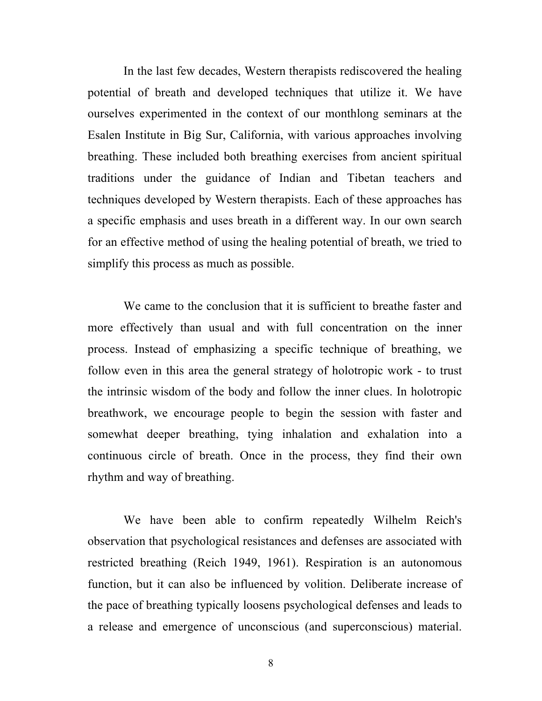In the last few decades, Western therapists rediscovered the healing potential of breath and developed techniques that utilize it. We have ourselves experimented in the context of our monthlong seminars at the Esalen Institute in Big Sur, California, with various approaches involving breathing. These included both breathing exercises from ancient spiritual traditions under the guidance of Indian and Tibetan teachers and techniques developed by Western therapists. Each of these approaches has a specific emphasis and uses breath in a different way. In our own search for an effective method of using the healing potential of breath, we tried to simplify this process as much as possible.

We came to the conclusion that it is sufficient to breathe faster and more effectively than usual and with full concentration on the inner process. Instead of emphasizing a specific technique of breathing, we follow even in this area the general strategy of holotropic work - to trust the intrinsic wisdom of the body and follow the inner clues. In holotropic breathwork, we encourage people to begin the session with faster and somewhat deeper breathing, tying inhalation and exhalation into a continuous circle of breath. Once in the process, they find their own rhythm and way of breathing.

We have been able to confirm repeatedly Wilhelm Reich's observation that psychological resistances and defenses are associated with restricted breathing (Reich 1949, 1961). Respiration is an autonomous function, but it can also be influenced by volition. Deliberate increase of the pace of breathing typically loosens psychological defenses and leads to a release and emergence of unconscious (and superconscious) material.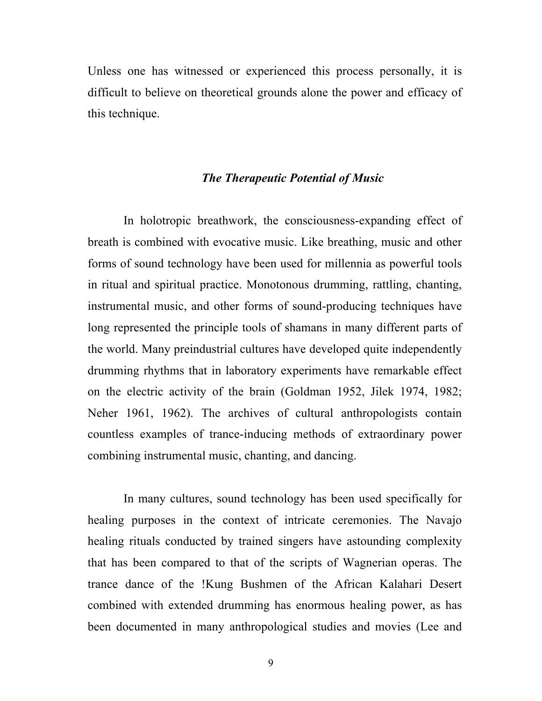Unless one has witnessed or experienced this process personally, it is difficult to believe on theoretical grounds alone the power and efficacy of this technique.

#### *The Therapeutic Potential of Music*

In holotropic breathwork, the consciousness-expanding effect of breath is combined with evocative music. Like breathing, music and other forms of sound technology have been used for millennia as powerful tools in ritual and spiritual practice. Monotonous drumming, rattling, chanting, instrumental music, and other forms of sound-producing techniques have long represented the principle tools of shamans in many different parts of the world. Many preindustrial cultures have developed quite independently drumming rhythms that in laboratory experiments have remarkable effect on the electric activity of the brain (Goldman 1952, Jilek 1974, 1982; Neher 1961, 1962). The archives of cultural anthropologists contain countless examples of trance-inducing methods of extraordinary power combining instrumental music, chanting, and dancing.

In many cultures, sound technology has been used specifically for healing purposes in the context of intricate ceremonies. The Navajo healing rituals conducted by trained singers have astounding complexity that has been compared to that of the scripts of Wagnerian operas. The trance dance of the !Kung Bushmen of the African Kalahari Desert combined with extended drumming has enormous healing power, as has been documented in many anthropological studies and movies (Lee and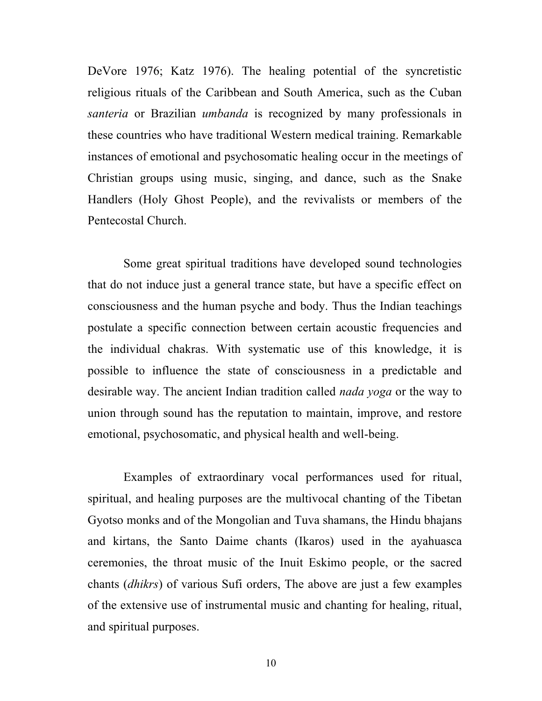DeVore 1976; Katz 1976). The healing potential of the syncretistic religious rituals of the Caribbean and South America, such as the Cuban *santeria* or Brazilian *umbanda* is recognized by many professionals in these countries who have traditional Western medical training. Remarkable instances of emotional and psychosomatic healing occur in the meetings of Christian groups using music, singing, and dance, such as the Snake Handlers (Holy Ghost People), and the revivalists or members of the Pentecostal Church.

Some great spiritual traditions have developed sound technologies that do not induce just a general trance state, but have a specific effect on consciousness and the human psyche and body. Thus the Indian teachings postulate a specific connection between certain acoustic frequencies and the individual chakras. With systematic use of this knowledge, it is possible to influence the state of consciousness in a predictable and desirable way. The ancient Indian tradition called *nada yoga* or the way to union through sound has the reputation to maintain, improve, and restore emotional, psychosomatic, and physical health and well-being.

Examples of extraordinary vocal performances used for ritual, spiritual, and healing purposes are the multivocal chanting of the Tibetan Gyotso monks and of the Mongolian and Tuva shamans, the Hindu bhajans and kirtans, the Santo Daime chants (Ikaros) used in the ayahuasca ceremonies, the throat music of the Inuit Eskimo people, or the sacred chants (*dhikrs*) of various Sufi orders, The above are just a few examples of the extensive use of instrumental music and chanting for healing, ritual, and spiritual purposes.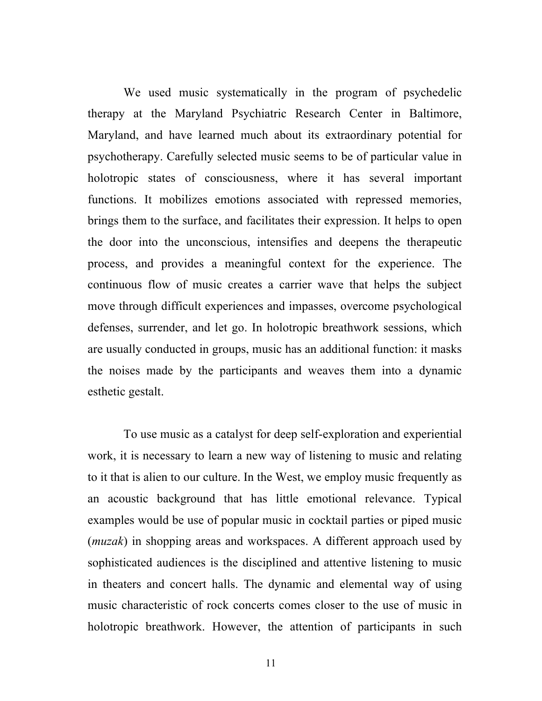We used music systematically in the program of psychedelic therapy at the Maryland Psychiatric Research Center in Baltimore, Maryland, and have learned much about its extraordinary potential for psychotherapy. Carefully selected music seems to be of particular value in holotropic states of consciousness, where it has several important functions. It mobilizes emotions associated with repressed memories, brings them to the surface, and facilitates their expression. It helps to open the door into the unconscious, intensifies and deepens the therapeutic process, and provides a meaningful context for the experience. The continuous flow of music creates a carrier wave that helps the subject move through difficult experiences and impasses, overcome psychological defenses, surrender, and let go. In holotropic breathwork sessions, which are usually conducted in groups, music has an additional function: it masks the noises made by the participants and weaves them into a dynamic esthetic gestalt.

To use music as a catalyst for deep self-exploration and experiential work, it is necessary to learn a new way of listening to music and relating to it that is alien to our culture. In the West, we employ music frequently as an acoustic background that has little emotional relevance. Typical examples would be use of popular music in cocktail parties or piped music (*muzak*) in shopping areas and workspaces. A different approach used by sophisticated audiences is the disciplined and attentive listening to music in theaters and concert halls. The dynamic and elemental way of using music characteristic of rock concerts comes closer to the use of music in holotropic breathwork. However, the attention of participants in such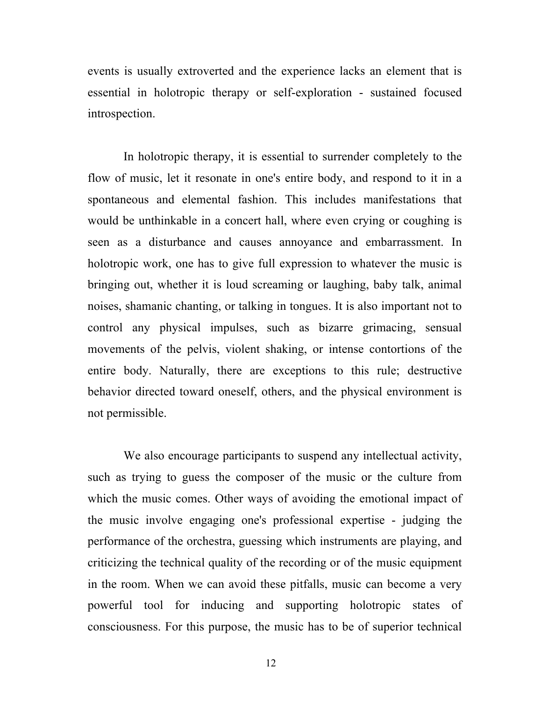events is usually extroverted and the experience lacks an element that is essential in holotropic therapy or self-exploration - sustained focused introspection.

In holotropic therapy, it is essential to surrender completely to the flow of music, let it resonate in one's entire body, and respond to it in a spontaneous and elemental fashion. This includes manifestations that would be unthinkable in a concert hall, where even crying or coughing is seen as a disturbance and causes annoyance and embarrassment. In holotropic work, one has to give full expression to whatever the music is bringing out, whether it is loud screaming or laughing, baby talk, animal noises, shamanic chanting, or talking in tongues. It is also important not to control any physical impulses, such as bizarre grimacing, sensual movements of the pelvis, violent shaking, or intense contortions of the entire body. Naturally, there are exceptions to this rule; destructive behavior directed toward oneself, others, and the physical environment is not permissible.

We also encourage participants to suspend any intellectual activity, such as trying to guess the composer of the music or the culture from which the music comes. Other ways of avoiding the emotional impact of the music involve engaging one's professional expertise - judging the performance of the orchestra, guessing which instruments are playing, and criticizing the technical quality of the recording or of the music equipment in the room. When we can avoid these pitfalls, music can become a very powerful tool for inducing and supporting holotropic states of consciousness. For this purpose, the music has to be of superior technical

12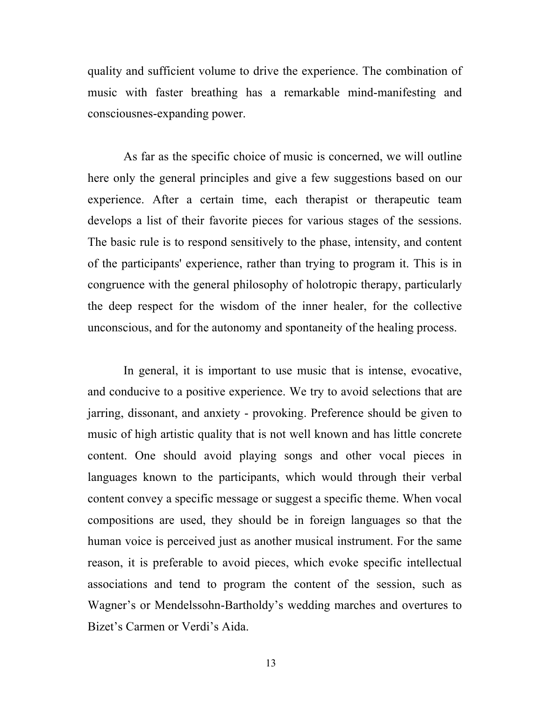quality and sufficient volume to drive the experience. The combination of music with faster breathing has a remarkable mind-manifesting and consciousnes-expanding power.

As far as the specific choice of music is concerned, we will outline here only the general principles and give a few suggestions based on our experience. After a certain time, each therapist or therapeutic team develops a list of their favorite pieces for various stages of the sessions. The basic rule is to respond sensitively to the phase, intensity, and content of the participants' experience, rather than trying to program it. This is in congruence with the general philosophy of holotropic therapy, particularly the deep respect for the wisdom of the inner healer, for the collective unconscious, and for the autonomy and spontaneity of the healing process.

In general, it is important to use music that is intense, evocative, and conducive to a positive experience. We try to avoid selections that are jarring, dissonant, and anxiety - provoking. Preference should be given to music of high artistic quality that is not well known and has little concrete content. One should avoid playing songs and other vocal pieces in languages known to the participants, which would through their verbal content convey a specific message or suggest a specific theme. When vocal compositions are used, they should be in foreign languages so that the human voice is perceived just as another musical instrument. For the same reason, it is preferable to avoid pieces, which evoke specific intellectual associations and tend to program the content of the session, such as Wagner's or Mendelssohn-Bartholdy's wedding marches and overtures to Bizet's Carmen or Verdi's Aida.

13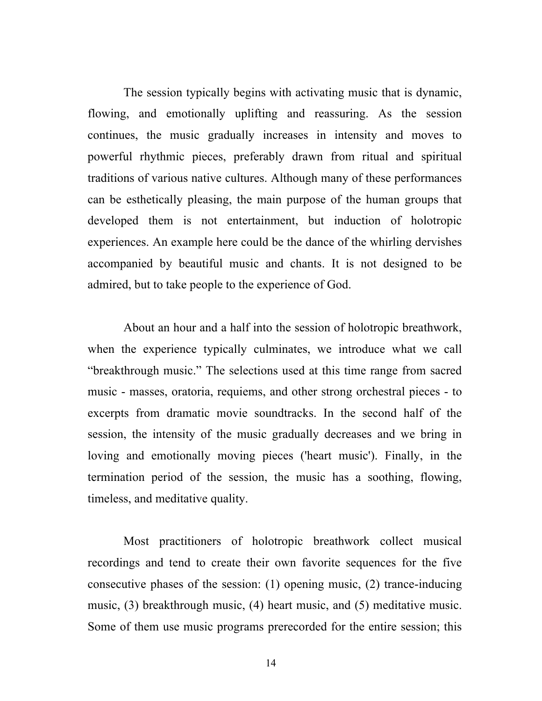The session typically begins with activating music that is dynamic, flowing, and emotionally uplifting and reassuring. As the session continues, the music gradually increases in intensity and moves to powerful rhythmic pieces, preferably drawn from ritual and spiritual traditions of various native cultures. Although many of these performances can be esthetically pleasing, the main purpose of the human groups that developed them is not entertainment, but induction of holotropic experiences. An example here could be the dance of the whirling dervishes accompanied by beautiful music and chants. It is not designed to be admired, but to take people to the experience of God.

About an hour and a half into the session of holotropic breathwork, when the experience typically culminates, we introduce what we call "breakthrough music." The selections used at this time range from sacred music - masses, oratoria, requiems, and other strong orchestral pieces - to excerpts from dramatic movie soundtracks. In the second half of the session, the intensity of the music gradually decreases and we bring in loving and emotionally moving pieces ('heart music'). Finally, in the termination period of the session, the music has a soothing, flowing, timeless, and meditative quality.

Most practitioners of holotropic breathwork collect musical recordings and tend to create their own favorite sequences for the five consecutive phases of the session: (1) opening music, (2) trance-inducing music, (3) breakthrough music, (4) heart music, and (5) meditative music. Some of them use music programs prerecorded for the entire session; this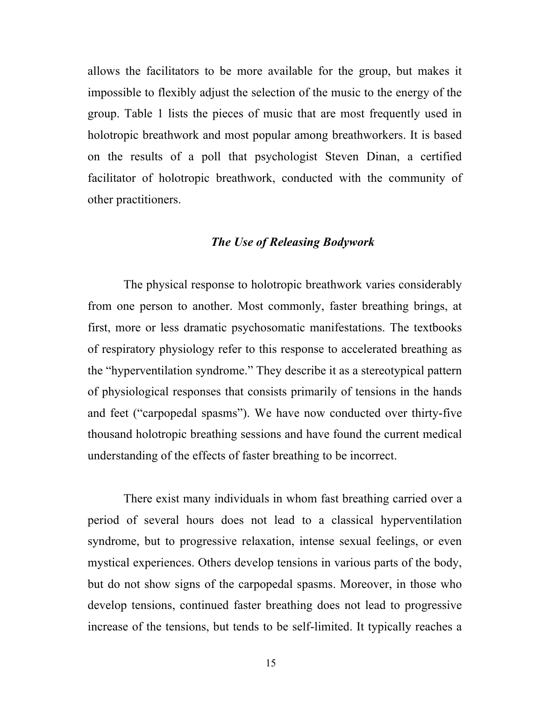allows the facilitators to be more available for the group, but makes it impossible to flexibly adjust the selection of the music to the energy of the group. Table 1 lists the pieces of music that are most frequently used in holotropic breathwork and most popular among breathworkers. It is based on the results of a poll that psychologist Steven Dinan, a certified facilitator of holotropic breathwork, conducted with the community of other practitioners.

#### *The Use of Releasing Bodywork*

The physical response to holotropic breathwork varies considerably from one person to another. Most commonly, faster breathing brings, at first, more or less dramatic psychosomatic manifestations. The textbooks of respiratory physiology refer to this response to accelerated breathing as the "hyperventilation syndrome." They describe it as a stereotypical pattern of physiological responses that consists primarily of tensions in the hands and feet ("carpopedal spasms"). We have now conducted over thirty-five thousand holotropic breathing sessions and have found the current medical understanding of the effects of faster breathing to be incorrect.

There exist many individuals in whom fast breathing carried over a period of several hours does not lead to a classical hyperventilation syndrome, but to progressive relaxation, intense sexual feelings, or even mystical experiences. Others develop tensions in various parts of the body, but do not show signs of the carpopedal spasms. Moreover, in those who develop tensions, continued faster breathing does not lead to progressive increase of the tensions, but tends to be self-limited. It typically reaches a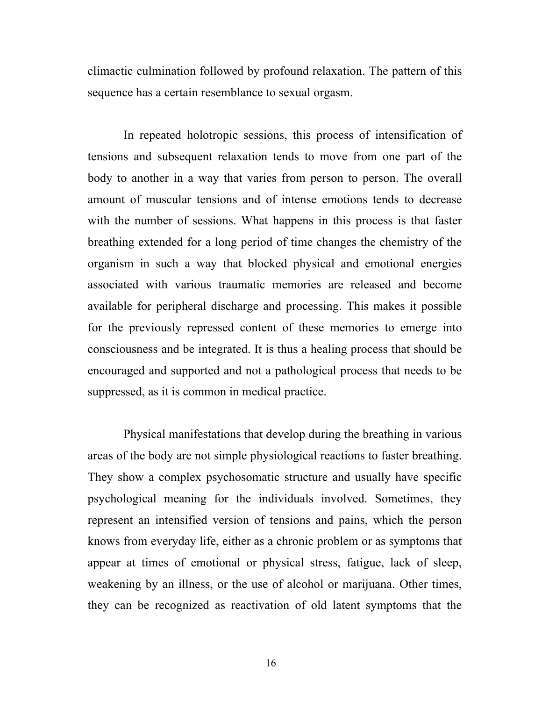climactic culmination followed by profound relaxation. The pattern of this sequence has a certain resemblance to sexual orgasm.

In repeated holotropic sessions, this process of intensification of tensions and subsequent relaxation tends to move from one part of the body to another in a way that varies from person to person. The overall amount of muscular tensions and of intense emotions tends to decrease with the number of sessions. What happens in this process is that faster breathing extended for a long period of time changes the chemistry of the organism in such a way that blocked physical and emotional energies associated with various traumatic memories are released and become available for peripheral discharge and processing. This makes it possible for the previously repressed content of these memories to emerge into consciousness and be integrated. It is thus a healing process that should be encouraged and supported and not a pathological process that needs to be suppressed, as it is common in medical practice.

Physical manifestations that develop during the breathing in various areas of the body are not simple physiological reactions to faster breathing. They show a complex psychosomatic structure and usually have specific psychological meaning for the individuals involved. Sometimes, they represent an intensified version of tensions and pains, which the person knows from everyday life, either as a chronic problem or as symptoms that appear at times of emotional or physical stress, fatigue, lack of sleep, weakening by an illness, or the use of alcohol or marijuana. Other times, they can be recognized as reactivation of old latent symptoms that the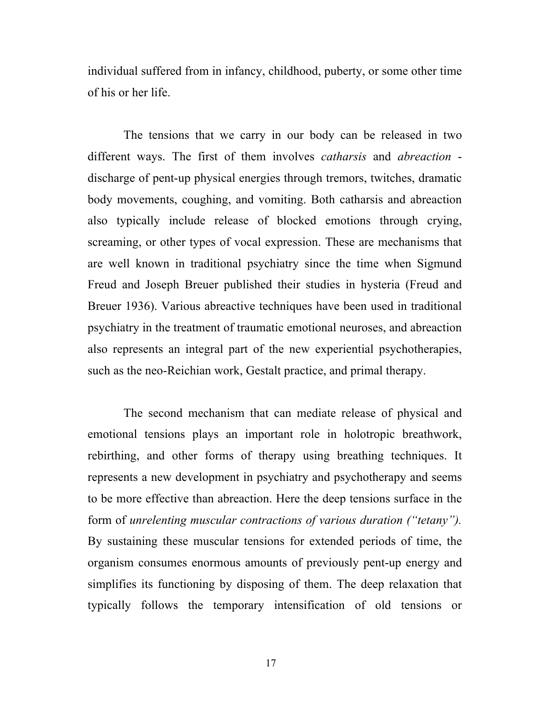individual suffered from in infancy, childhood, puberty, or some other time of his or her life.

The tensions that we carry in our body can be released in two different ways. The first of them involves *catharsis* and *abreaction* discharge of pent-up physical energies through tremors, twitches, dramatic body movements, coughing, and vomiting. Both catharsis and abreaction also typically include release of blocked emotions through crying, screaming, or other types of vocal expression. These are mechanisms that are well known in traditional psychiatry since the time when Sigmund Freud and Joseph Breuer published their studies in hysteria (Freud and Breuer 1936). Various abreactive techniques have been used in traditional psychiatry in the treatment of traumatic emotional neuroses, and abreaction also represents an integral part of the new experiential psychotherapies, such as the neo-Reichian work, Gestalt practice, and primal therapy.

The second mechanism that can mediate release of physical and emotional tensions plays an important role in holotropic breathwork, rebirthing, and other forms of therapy using breathing techniques. It represents a new development in psychiatry and psychotherapy and seems to be more effective than abreaction. Here the deep tensions surface in the form of *unrelenting muscular contractions of various duration ("tetany").* By sustaining these muscular tensions for extended periods of time, the organism consumes enormous amounts of previously pent-up energy and simplifies its functioning by disposing of them. The deep relaxation that typically follows the temporary intensification of old tensions or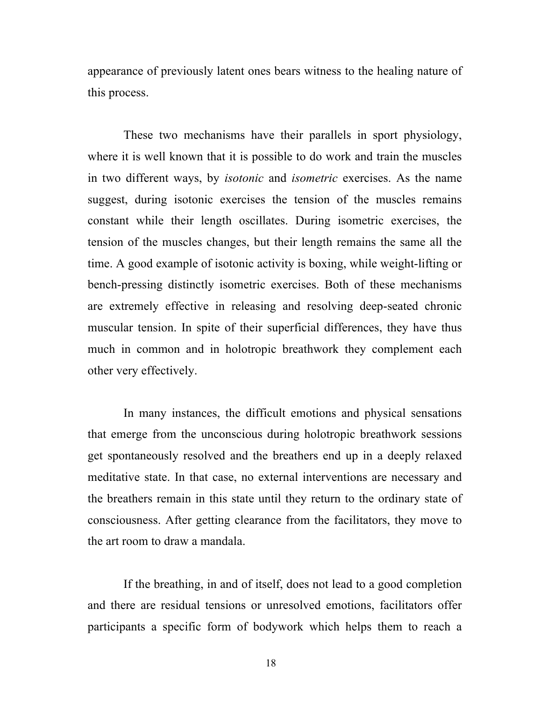appearance of previously latent ones bears witness to the healing nature of this process.

These two mechanisms have their parallels in sport physiology, where it is well known that it is possible to do work and train the muscles in two different ways, by *isotonic* and *isometric* exercises. As the name suggest, during isotonic exercises the tension of the muscles remains constant while their length oscillates. During isometric exercises, the tension of the muscles changes, but their length remains the same all the time. A good example of isotonic activity is boxing, while weight-lifting or bench-pressing distinctly isometric exercises. Both of these mechanisms are extremely effective in releasing and resolving deep-seated chronic muscular tension. In spite of their superficial differences, they have thus much in common and in holotropic breathwork they complement each other very effectively.

In many instances, the difficult emotions and physical sensations that emerge from the unconscious during holotropic breathwork sessions get spontaneously resolved and the breathers end up in a deeply relaxed meditative state. In that case, no external interventions are necessary and the breathers remain in this state until they return to the ordinary state of consciousness. After getting clearance from the facilitators, they move to the art room to draw a mandala.

If the breathing, in and of itself, does not lead to a good completion and there are residual tensions or unresolved emotions, facilitators offer participants a specific form of bodywork which helps them to reach a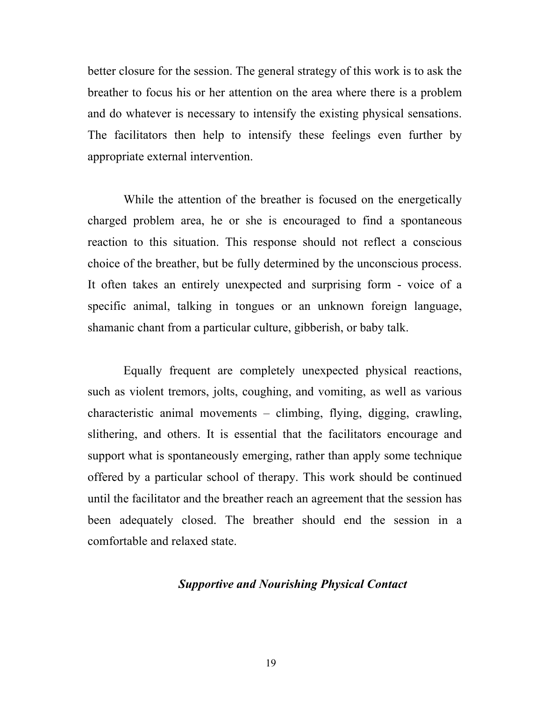better closure for the session. The general strategy of this work is to ask the breather to focus his or her attention on the area where there is a problem and do whatever is necessary to intensify the existing physical sensations. The facilitators then help to intensify these feelings even further by appropriate external intervention.

While the attention of the breather is focused on the energetically charged problem area, he or she is encouraged to find a spontaneous reaction to this situation. This response should not reflect a conscious choice of the breather, but be fully determined by the unconscious process. It often takes an entirely unexpected and surprising form - voice of a specific animal, talking in tongues or an unknown foreign language, shamanic chant from a particular culture, gibberish, or baby talk.

Equally frequent are completely unexpected physical reactions, such as violent tremors, jolts, coughing, and vomiting, as well as various characteristic animal movements – climbing, flying, digging, crawling, slithering, and others. It is essential that the facilitators encourage and support what is spontaneously emerging, rather than apply some technique offered by a particular school of therapy. This work should be continued until the facilitator and the breather reach an agreement that the session has been adequately closed. The breather should end the session in a comfortable and relaxed state.

## *Supportive and Nourishing Physical Contact*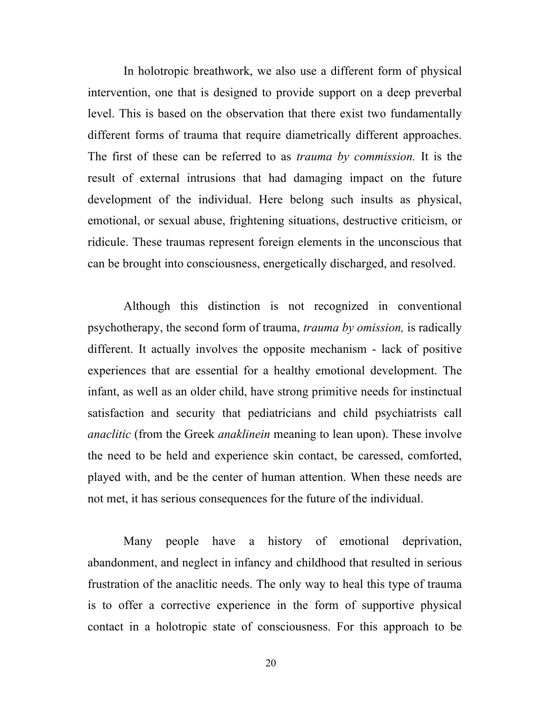In holotropic breathwork, we also use a different form of physical intervention, one that is designed to provide support on a deep preverbal level. This is based on the observation that there exist two fundamentally different forms of trauma that require diametrically different approaches. The first of these can be referred to as *trauma by commission.* It is the result of external intrusions that had damaging impact on the future development of the individual. Here belong such insults as physical, emotional, or sexual abuse, frightening situations, destructive criticism, or ridicule. These traumas represent foreign elements in the unconscious that can be brought into consciousness, energetically discharged, and resolved.

Although this distinction is not recognized in conventional psychotherapy, the second form of trauma, *trauma by omission,* is radically different. It actually involves the opposite mechanism - lack of positive experiences that are essential for a healthy emotional development. The infant, as well as an older child, have strong primitive needs for instinctual satisfaction and security that pediatricians and child psychiatrists call *anaclitic* (from the Greek *anaklinein* meaning to lean upon). These involve the need to be held and experience skin contact, be caressed, comforted, played with, and be the center of human attention. When these needs are not met, it has serious consequences for the future of the individual.

Many people have a history of emotional deprivation, abandonment, and neglect in infancy and childhood that resulted in serious frustration of the anaclitic needs. The only way to heal this type of trauma is to offer a corrective experience in the form of supportive physical contact in a holotropic state of consciousness. For this approach to be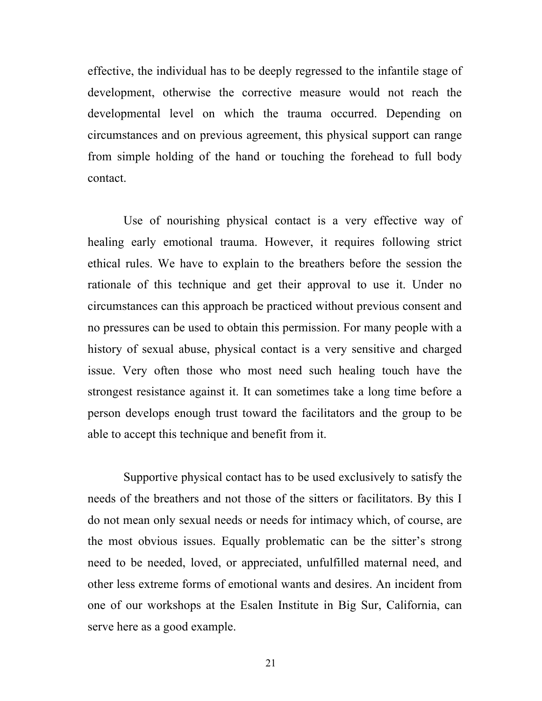effective, the individual has to be deeply regressed to the infantile stage of development, otherwise the corrective measure would not reach the developmental level on which the trauma occurred. Depending on circumstances and on previous agreement, this physical support can range from simple holding of the hand or touching the forehead to full body contact.

Use of nourishing physical contact is a very effective way of healing early emotional trauma. However, it requires following strict ethical rules. We have to explain to the breathers before the session the rationale of this technique and get their approval to use it. Under no circumstances can this approach be practiced without previous consent and no pressures can be used to obtain this permission. For many people with a history of sexual abuse, physical contact is a very sensitive and charged issue. Very often those who most need such healing touch have the strongest resistance against it. It can sometimes take a long time before a person develops enough trust toward the facilitators and the group to be able to accept this technique and benefit from it.

Supportive physical contact has to be used exclusively to satisfy the needs of the breathers and not those of the sitters or facilitators. By this I do not mean only sexual needs or needs for intimacy which, of course, are the most obvious issues. Equally problematic can be the sitter's strong need to be needed, loved, or appreciated, unfulfilled maternal need, and other less extreme forms of emotional wants and desires. An incident from one of our workshops at the Esalen Institute in Big Sur, California, can serve here as a good example.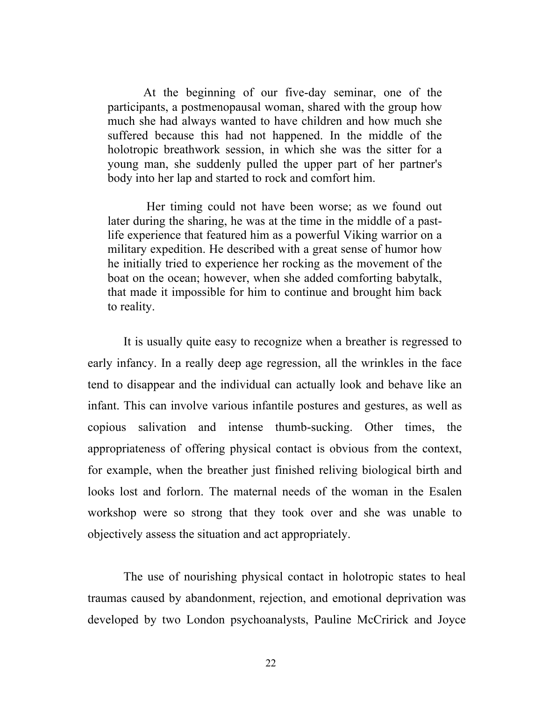At the beginning of our five-day seminar, one of the participants, a postmenopausal woman, shared with the group how much she had always wanted to have children and how much she suffered because this had not happened. In the middle of the holotropic breathwork session, in which she was the sitter for a young man, she suddenly pulled the upper part of her partner's body into her lap and started to rock and comfort him.

 Her timing could not have been worse; as we found out later during the sharing, he was at the time in the middle of a pastlife experience that featured him as a powerful Viking warrior on a military expedition. He described with a great sense of humor how he initially tried to experience her rocking as the movement of the boat on the ocean; however, when she added comforting babytalk, that made it impossible for him to continue and brought him back to reality.

It is usually quite easy to recognize when a breather is regressed to early infancy. In a really deep age regression, all the wrinkles in the face tend to disappear and the individual can actually look and behave like an infant. This can involve various infantile postures and gestures, as well as copious salivation and intense thumb-sucking. Other times, the appropriateness of offering physical contact is obvious from the context, for example, when the breather just finished reliving biological birth and looks lost and forlorn. The maternal needs of the woman in the Esalen workshop were so strong that they took over and she was unable to objectively assess the situation and act appropriately.

The use of nourishing physical contact in holotropic states to heal traumas caused by abandonment, rejection, and emotional deprivation was developed by two London psychoanalysts, Pauline McCririck and Joyce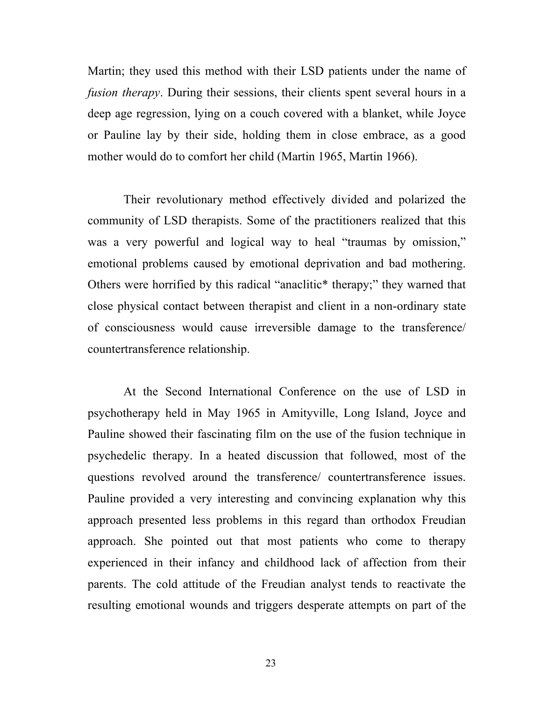Martin; they used this method with their LSD patients under the name of *fusion therapy*. During their sessions, their clients spent several hours in a deep age regression, lying on a couch covered with a blanket, while Joyce or Pauline lay by their side, holding them in close embrace, as a good mother would do to comfort her child (Martin 1965, Martin 1966).

Their revolutionary method effectively divided and polarized the community of LSD therapists. Some of the practitioners realized that this was a very powerful and logical way to heal "traumas by omission," emotional problems caused by emotional deprivation and bad mothering. Others were horrified by this radical "anaclitic\* therapy;" they warned that close physical contact between therapist and client in a non-ordinary state of consciousness would cause irreversible damage to the transference/ countertransference relationship.

At the Second International Conference on the use of LSD in psychotherapy held in May 1965 in Amityville, Long Island, Joyce and Pauline showed their fascinating film on the use of the fusion technique in psychedelic therapy. In a heated discussion that followed, most of the questions revolved around the transference/ countertransference issues. Pauline provided a very interesting and convincing explanation why this approach presented less problems in this regard than orthodox Freudian approach. She pointed out that most patients who come to therapy experienced in their infancy and childhood lack of affection from their parents. The cold attitude of the Freudian analyst tends to reactivate the resulting emotional wounds and triggers desperate attempts on part of the

23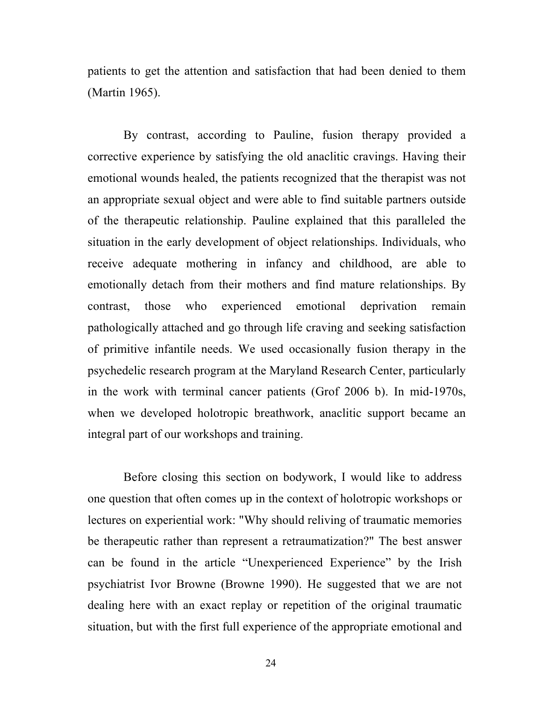patients to get the attention and satisfaction that had been denied to them (Martin 1965).

By contrast, according to Pauline, fusion therapy provided a corrective experience by satisfying the old anaclitic cravings. Having their emotional wounds healed, the patients recognized that the therapist was not an appropriate sexual object and were able to find suitable partners outside of the therapeutic relationship. Pauline explained that this paralleled the situation in the early development of object relationships. Individuals, who receive adequate mothering in infancy and childhood, are able to emotionally detach from their mothers and find mature relationships. By contrast, those who experienced emotional deprivation remain pathologically attached and go through life craving and seeking satisfaction of primitive infantile needs. We used occasionally fusion therapy in the psychedelic research program at the Maryland Research Center, particularly in the work with terminal cancer patients (Grof 2006 b). In mid-1970s, when we developed holotropic breathwork, anaclitic support became an integral part of our workshops and training.

Before closing this section on bodywork, I would like to address one question that often comes up in the context of holotropic workshops or lectures on experiential work: "Why should reliving of traumatic memories be therapeutic rather than represent a retraumatization?" The best answer can be found in the article "Unexperienced Experience" by the Irish psychiatrist Ivor Browne (Browne 1990). He suggested that we are not dealing here with an exact replay or repetition of the original traumatic situation, but with the first full experience of the appropriate emotional and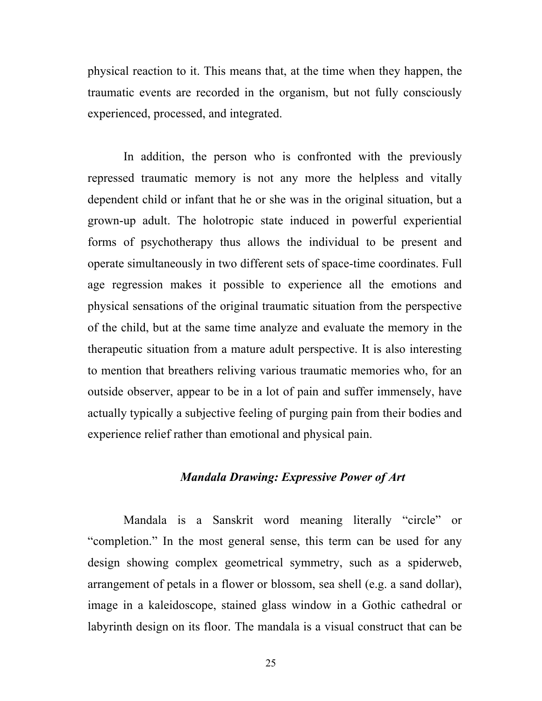physical reaction to it. This means that, at the time when they happen, the traumatic events are recorded in the organism, but not fully consciously experienced, processed, and integrated.

In addition, the person who is confronted with the previously repressed traumatic memory is not any more the helpless and vitally dependent child or infant that he or she was in the original situation, but a grown-up adult. The holotropic state induced in powerful experiential forms of psychotherapy thus allows the individual to be present and operate simultaneously in two different sets of space-time coordinates. Full age regression makes it possible to experience all the emotions and physical sensations of the original traumatic situation from the perspective of the child, but at the same time analyze and evaluate the memory in the therapeutic situation from a mature adult perspective. It is also interesting to mention that breathers reliving various traumatic memories who, for an outside observer, appear to be in a lot of pain and suffer immensely, have actually typically a subjective feeling of purging pain from their bodies and experience relief rather than emotional and physical pain.

# *Mandala Drawing: Expressive Power of Art*

Mandala is a Sanskrit word meaning literally "circle" or "completion." In the most general sense, this term can be used for any design showing complex geometrical symmetry, such as a spiderweb, arrangement of petals in a flower or blossom, sea shell (e.g. a sand dollar), image in a kaleidoscope, stained glass window in a Gothic cathedral or labyrinth design on its floor. The mandala is a visual construct that can be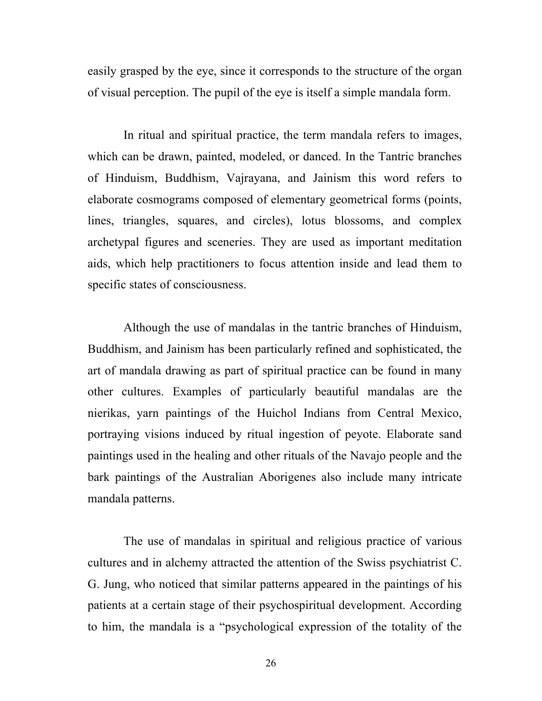easily grasped by the eye, since it corresponds to the structure of the organ of visual perception. The pupil of the eye is itself a simple mandala form.

In ritual and spiritual practice, the term mandala refers to images, which can be drawn, painted, modeled, or danced. In the Tantric branches of Hinduism, Buddhism, Vajrayana, and Jainism this word refers to elaborate cosmograms composed of elementary geometrical forms (points, lines, triangles, squares, and circles), lotus blossoms, and complex archetypal figures and sceneries. They are used as important meditation aids, which help practitioners to focus attention inside and lead them to specific states of consciousness.

Although the use of mandalas in the tantric branches of Hinduism, Buddhism, and Jainism has been particularly refined and sophisticated, the art of mandala drawing as part of spiritual practice can be found in many other cultures. Examples of particularly beautiful mandalas are the nierikas, yarn paintings of the Huichol Indians from Central Mexico, portraying visions induced by ritual ingestion of peyote. Elaborate sand paintings used in the healing and other rituals of the Navajo people and the bark paintings of the Australian Aborigenes also include many intricate mandala patterns.

The use of mandalas in spiritual and religious practice of various cultures and in alchemy attracted the attention of the Swiss psychiatrist C. G. Jung, who noticed that similar patterns appeared in the paintings of his patients at a certain stage of their psychospiritual development. According to him, the mandala is a "psychological expression of the totality of the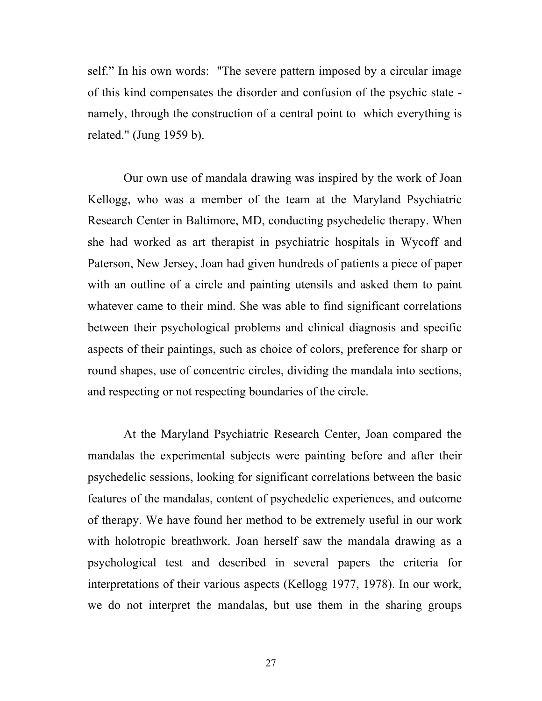self." In his own words: "The severe pattern imposed by a circular image of this kind compensates the disorder and confusion of the psychic state namely, through the construction of a central point to which everything is related." (Jung 1959 b).

Our own use of mandala drawing was inspired by the work of Joan Kellogg, who was a member of the team at the Maryland Psychiatric Research Center in Baltimore, MD, conducting psychedelic therapy. When she had worked as art therapist in psychiatric hospitals in Wycoff and Paterson, New Jersey, Joan had given hundreds of patients a piece of paper with an outline of a circle and painting utensils and asked them to paint whatever came to their mind. She was able to find significant correlations between their psychological problems and clinical diagnosis and specific aspects of their paintings, such as choice of colors, preference for sharp or round shapes, use of concentric circles, dividing the mandala into sections, and respecting or not respecting boundaries of the circle.

At the Maryland Psychiatric Research Center, Joan compared the mandalas the experimental subjects were painting before and after their psychedelic sessions, looking for significant correlations between the basic features of the mandalas, content of psychedelic experiences, and outcome of therapy. We have found her method to be extremely useful in our work with holotropic breathwork. Joan herself saw the mandala drawing as a psychological test and described in several papers the criteria for interpretations of their various aspects (Kellogg 1977, 1978). In our work, we do not interpret the mandalas, but use them in the sharing groups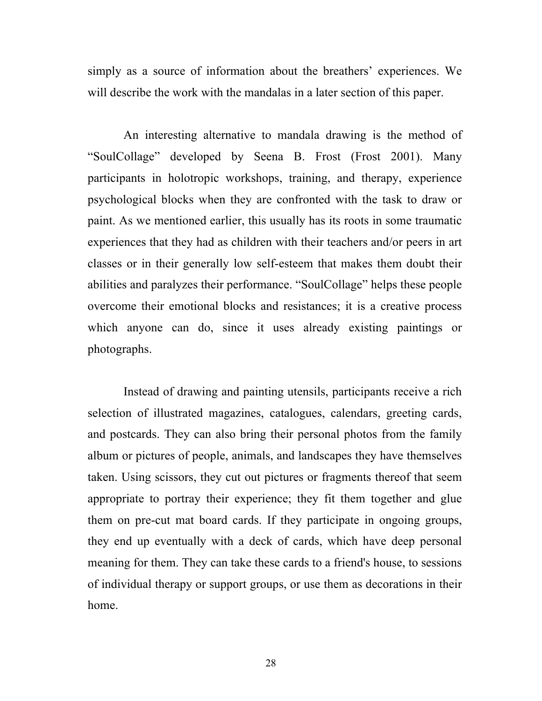simply as a source of information about the breathers' experiences. We will describe the work with the mandalas in a later section of this paper.

An interesting alternative to mandala drawing is the method of "SoulCollage" developed by Seena B. Frost (Frost 2001). Many participants in holotropic workshops, training, and therapy, experience psychological blocks when they are confronted with the task to draw or paint. As we mentioned earlier, this usually has its roots in some traumatic experiences that they had as children with their teachers and/or peers in art classes or in their generally low self-esteem that makes them doubt their abilities and paralyzes their performance. "SoulCollage" helps these people overcome their emotional blocks and resistances; it is a creative process which anyone can do, since it uses already existing paintings or photographs.

Instead of drawing and painting utensils, participants receive a rich selection of illustrated magazines, catalogues, calendars, greeting cards, and postcards. They can also bring their personal photos from the family album or pictures of people, animals, and landscapes they have themselves taken. Using scissors, they cut out pictures or fragments thereof that seem appropriate to portray their experience; they fit them together and glue them on pre-cut mat board cards. If they participate in ongoing groups, they end up eventually with a deck of cards, which have deep personal meaning for them. They can take these cards to a friend's house, to sessions of individual therapy or support groups, or use them as decorations in their home.

28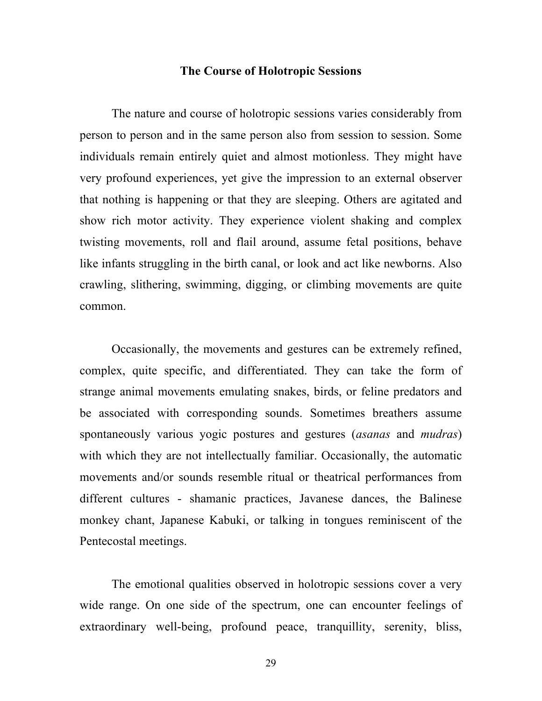#### **The Course of Holotropic Sessions**

The nature and course of holotropic sessions varies considerably from person to person and in the same person also from session to session. Some individuals remain entirely quiet and almost motionless. They might have very profound experiences, yet give the impression to an external observer that nothing is happening or that they are sleeping. Others are agitated and show rich motor activity. They experience violent shaking and complex twisting movements, roll and flail around, assume fetal positions, behave like infants struggling in the birth canal, or look and act like newborns. Also crawling, slithering, swimming, digging, or climbing movements are quite common.

Occasionally, the movements and gestures can be extremely refined, complex, quite specific, and differentiated. They can take the form of strange animal movements emulating snakes, birds, or feline predators and be associated with corresponding sounds. Sometimes breathers assume spontaneously various yogic postures and gestures (*asanas* and *mudras*) with which they are not intellectually familiar. Occasionally, the automatic movements and/or sounds resemble ritual or theatrical performances from different cultures - shamanic practices, Javanese dances, the Balinese monkey chant, Japanese Kabuki, or talking in tongues reminiscent of the Pentecostal meetings.

The emotional qualities observed in holotropic sessions cover a very wide range. On one side of the spectrum, one can encounter feelings of extraordinary well-being, profound peace, tranquillity, serenity, bliss,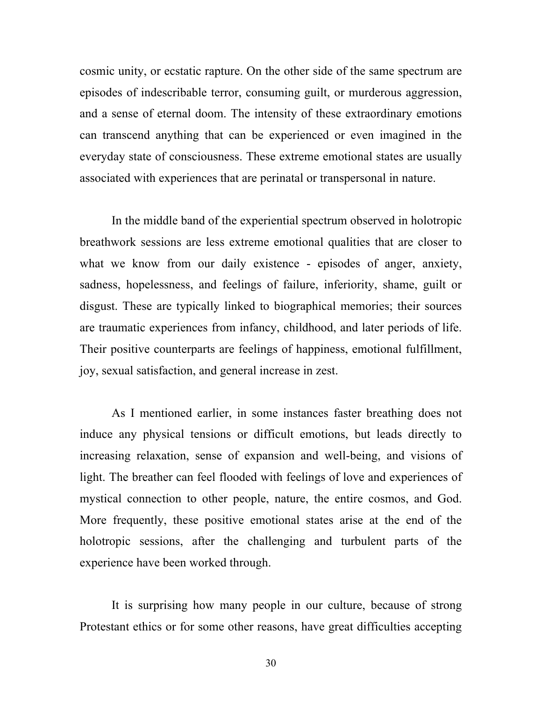cosmic unity, or ecstatic rapture. On the other side of the same spectrum are episodes of indescribable terror, consuming guilt, or murderous aggression, and a sense of eternal doom. The intensity of these extraordinary emotions can transcend anything that can be experienced or even imagined in the everyday state of consciousness. These extreme emotional states are usually associated with experiences that are perinatal or transpersonal in nature.

In the middle band of the experiential spectrum observed in holotropic breathwork sessions are less extreme emotional qualities that are closer to what we know from our daily existence - episodes of anger, anxiety, sadness, hopelessness, and feelings of failure, inferiority, shame, guilt or disgust. These are typically linked to biographical memories; their sources are traumatic experiences from infancy, childhood, and later periods of life. Their positive counterparts are feelings of happiness, emotional fulfillment, joy, sexual satisfaction, and general increase in zest.

As I mentioned earlier, in some instances faster breathing does not induce any physical tensions or difficult emotions, but leads directly to increasing relaxation, sense of expansion and well-being, and visions of light. The breather can feel flooded with feelings of love and experiences of mystical connection to other people, nature, the entire cosmos, and God. More frequently, these positive emotional states arise at the end of the holotropic sessions, after the challenging and turbulent parts of the experience have been worked through.

It is surprising how many people in our culture, because of strong Protestant ethics or for some other reasons, have great difficulties accepting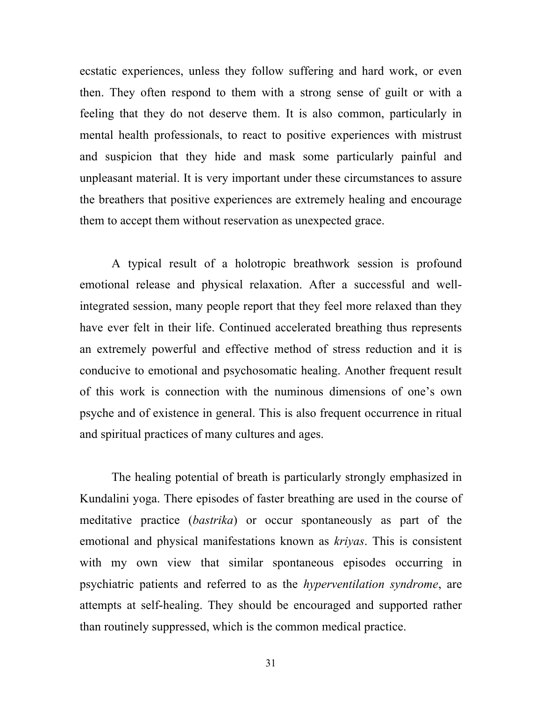ecstatic experiences, unless they follow suffering and hard work, or even then. They often respond to them with a strong sense of guilt or with a feeling that they do not deserve them. It is also common, particularly in mental health professionals, to react to positive experiences with mistrust and suspicion that they hide and mask some particularly painful and unpleasant material. It is very important under these circumstances to assure the breathers that positive experiences are extremely healing and encourage them to accept them without reservation as unexpected grace.

A typical result of a holotropic breathwork session is profound emotional release and physical relaxation. After a successful and wellintegrated session, many people report that they feel more relaxed than they have ever felt in their life. Continued accelerated breathing thus represents an extremely powerful and effective method of stress reduction and it is conducive to emotional and psychosomatic healing. Another frequent result of this work is connection with the numinous dimensions of one's own psyche and of existence in general. This is also frequent occurrence in ritual and spiritual practices of many cultures and ages.

The healing potential of breath is particularly strongly emphasized in Kundalini yoga. There episodes of faster breathing are used in the course of meditative practice (*bastrika*) or occur spontaneously as part of the emotional and physical manifestations known as *kriyas*. This is consistent with my own view that similar spontaneous episodes occurring in psychiatric patients and referred to as the *hyperventilation syndrome*, are attempts at self-healing. They should be encouraged and supported rather than routinely suppressed, which is the common medical practice.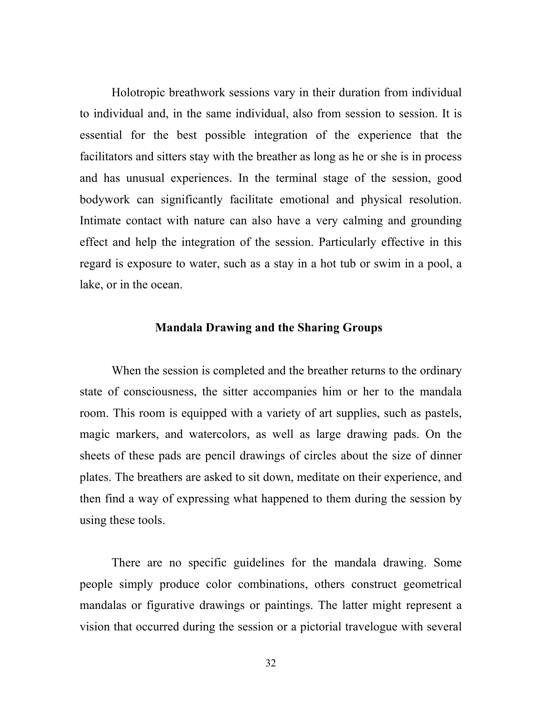Holotropic breathwork sessions vary in their duration from individual to individual and, in the same individual, also from session to session. It is essential for the best possible integration of the experience that the facilitators and sitters stay with the breather as long as he or she is in process and has unusual experiences. In the terminal stage of the session, good bodywork can significantly facilitate emotional and physical resolution. Intimate contact with nature can also have a very calming and grounding effect and help the integration of the session. Particularly effective in this regard is exposure to water, such as a stay in a hot tub or swim in a pool, a lake, or in the ocean.

## **Mandala Drawing and the Sharing Groups**

When the session is completed and the breather returns to the ordinary state of consciousness, the sitter accompanies him or her to the mandala room. This room is equipped with a variety of art supplies, such as pastels, magic markers, and watercolors, as well as large drawing pads. On the sheets of these pads are pencil drawings of circles about the size of dinner plates. The breathers are asked to sit down, meditate on their experience, and then find a way of expressing what happened to them during the session by using these tools.

There are no specific guidelines for the mandala drawing. Some people simply produce color combinations, others construct geometrical mandalas or figurative drawings or paintings. The latter might represent a vision that occurred during the session or a pictorial travelogue with several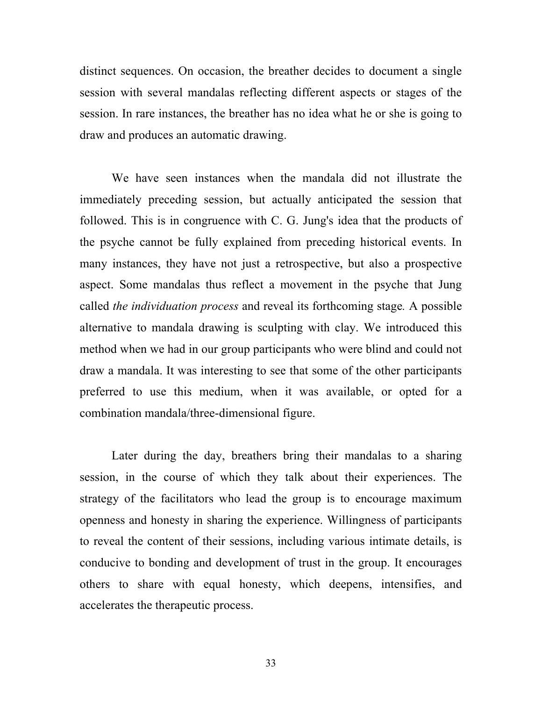distinct sequences. On occasion, the breather decides to document a single session with several mandalas reflecting different aspects or stages of the session. In rare instances, the breather has no idea what he or she is going to draw and produces an automatic drawing.

We have seen instances when the mandala did not illustrate the immediately preceding session, but actually anticipated the session that followed. This is in congruence with C. G. Jung's idea that the products of the psyche cannot be fully explained from preceding historical events. In many instances, they have not just a retrospective, but also a prospective aspect. Some mandalas thus reflect a movement in the psyche that Jung called *the individuation process* and reveal its forthcoming stage*.* A possible alternative to mandala drawing is sculpting with clay. We introduced this method when we had in our group participants who were blind and could not draw a mandala. It was interesting to see that some of the other participants preferred to use this medium, when it was available, or opted for a combination mandala/three-dimensional figure.

Later during the day, breathers bring their mandalas to a sharing session, in the course of which they talk about their experiences. The strategy of the facilitators who lead the group is to encourage maximum openness and honesty in sharing the experience. Willingness of participants to reveal the content of their sessions, including various intimate details, is conducive to bonding and development of trust in the group. It encourages others to share with equal honesty, which deepens, intensifies, and accelerates the therapeutic process.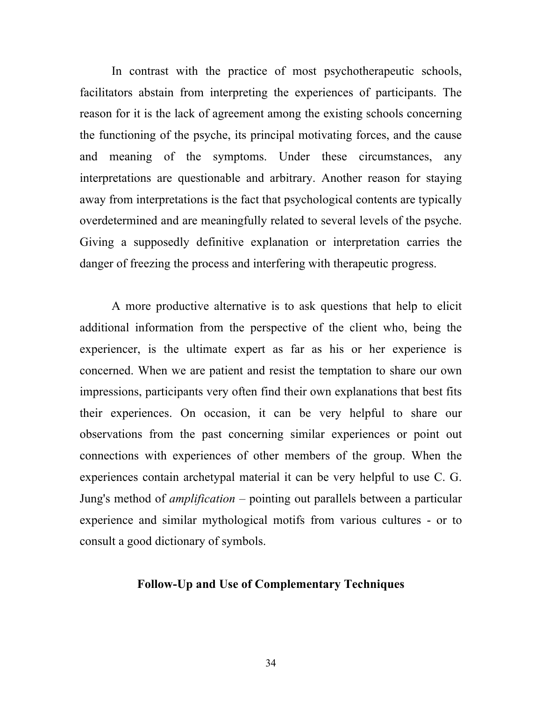In contrast with the practice of most psychotherapeutic schools, facilitators abstain from interpreting the experiences of participants. The reason for it is the lack of agreement among the existing schools concerning the functioning of the psyche, its principal motivating forces, and the cause and meaning of the symptoms. Under these circumstances, any interpretations are questionable and arbitrary. Another reason for staying away from interpretations is the fact that psychological contents are typically overdetermined and are meaningfully related to several levels of the psyche. Giving a supposedly definitive explanation or interpretation carries the danger of freezing the process and interfering with therapeutic progress.

A more productive alternative is to ask questions that help to elicit additional information from the perspective of the client who, being the experiencer, is the ultimate expert as far as his or her experience is concerned. When we are patient and resist the temptation to share our own impressions, participants very often find their own explanations that best fits their experiences. On occasion, it can be very helpful to share our observations from the past concerning similar experiences or point out connections with experiences of other members of the group. When the experiences contain archetypal material it can be very helpful to use C. G. Jung's method of *amplification* – pointing out parallels between a particular experience and similar mythological motifs from various cultures - or to consult a good dictionary of symbols.

## **Follow-Up and Use of Complementary Techniques**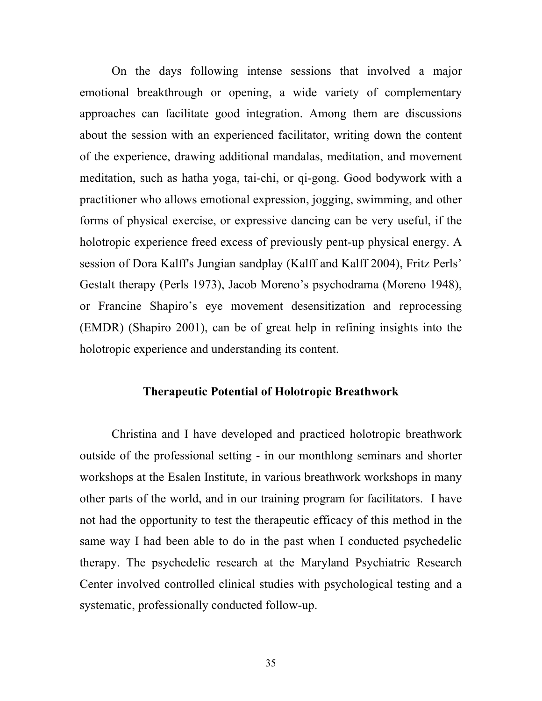On the days following intense sessions that involved a major emotional breakthrough or opening, a wide variety of complementary approaches can facilitate good integration. Among them are discussions about the session with an experienced facilitator, writing down the content of the experience, drawing additional mandalas, meditation, and movement meditation, such as hatha yoga, tai-chi, or qi-gong. Good bodywork with a practitioner who allows emotional expression, jogging, swimming, and other forms of physical exercise, or expressive dancing can be very useful, if the holotropic experience freed excess of previously pent-up physical energy. A session of Dora Kalff's Jungian sandplay (Kalff and Kalff 2004), Fritz Perls' Gestalt therapy (Perls 1973), Jacob Moreno's psychodrama (Moreno 1948), or Francine Shapiro's eye movement desensitization and reprocessing (EMDR) (Shapiro 2001), can be of great help in refining insights into the holotropic experience and understanding its content.

## **Therapeutic Potential of Holotropic Breathwork**

Christina and I have developed and practiced holotropic breathwork outside of the professional setting - in our monthlong seminars and shorter workshops at the Esalen Institute, in various breathwork workshops in many other parts of the world, and in our training program for facilitators. I have not had the opportunity to test the therapeutic efficacy of this method in the same way I had been able to do in the past when I conducted psychedelic therapy. The psychedelic research at the Maryland Psychiatric Research Center involved controlled clinical studies with psychological testing and a systematic, professionally conducted follow-up.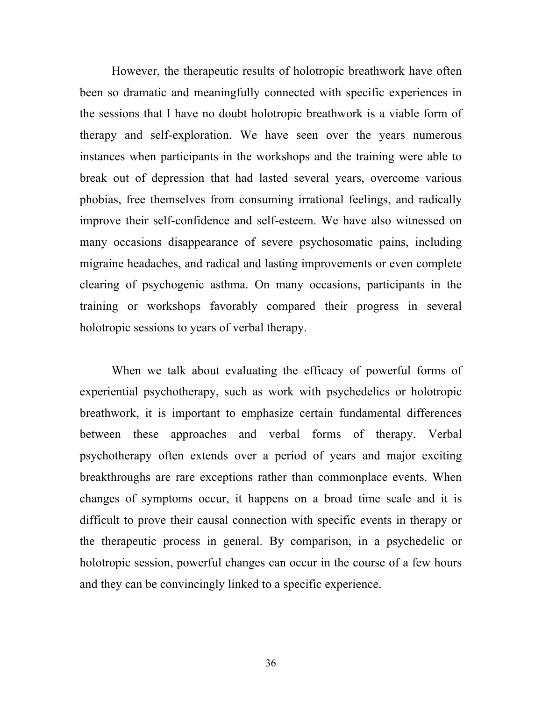However, the therapeutic results of holotropic breathwork have often been so dramatic and meaningfully connected with specific experiences in the sessions that I have no doubt holotropic breathwork is a viable form of therapy and self-exploration. We have seen over the years numerous instances when participants in the workshops and the training were able to break out of depression that had lasted several years, overcome various phobias, free themselves from consuming irrational feelings, and radically improve their self-confidence and self-esteem. We have also witnessed on many occasions disappearance of severe psychosomatic pains, including migraine headaches, and radical and lasting improvements or even complete clearing of psychogenic asthma. On many occasions, participants in the training or workshops favorably compared their progress in several holotropic sessions to years of verbal therapy.

When we talk about evaluating the efficacy of powerful forms of experiential psychotherapy, such as work with psychedelics or holotropic breathwork, it is important to emphasize certain fundamental differences between these approaches and verbal forms of therapy. Verbal psychotherapy often extends over a period of years and major exciting breakthroughs are rare exceptions rather than commonplace events. When changes of symptoms occur, it happens on a broad time scale and it is difficult to prove their causal connection with specific events in therapy or the therapeutic process in general. By comparison, in a psychedelic or holotropic session, powerful changes can occur in the course of a few hours and they can be convincingly linked to a specific experience.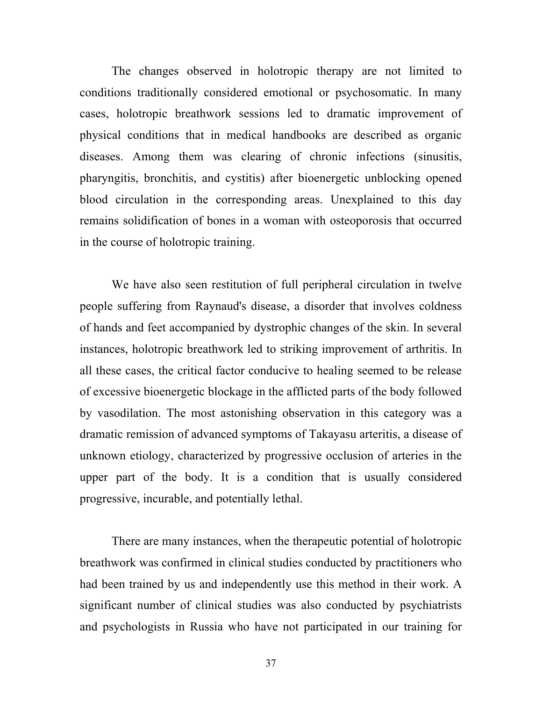The changes observed in holotropic therapy are not limited to conditions traditionally considered emotional or psychosomatic. In many cases, holotropic breathwork sessions led to dramatic improvement of physical conditions that in medical handbooks are described as organic diseases. Among them was clearing of chronic infections (sinusitis, pharyngitis, bronchitis, and cystitis) after bioenergetic unblocking opened blood circulation in the corresponding areas. Unexplained to this day remains solidification of bones in a woman with osteoporosis that occurred in the course of holotropic training.

We have also seen restitution of full peripheral circulation in twelve people suffering from Raynaud's disease, a disorder that involves coldness of hands and feet accompanied by dystrophic changes of the skin. In several instances, holotropic breathwork led to striking improvement of arthritis. In all these cases, the critical factor conducive to healing seemed to be release of excessive bioenergetic blockage in the afflicted parts of the body followed by vasodilation. The most astonishing observation in this category was a dramatic remission of advanced symptoms of Takayasu arteritis, a disease of unknown etiology, characterized by progressive occlusion of arteries in the upper part of the body. It is a condition that is usually considered progressive, incurable, and potentially lethal.

There are many instances, when the therapeutic potential of holotropic breathwork was confirmed in clinical studies conducted by practitioners who had been trained by us and independently use this method in their work. A significant number of clinical studies was also conducted by psychiatrists and psychologists in Russia who have not participated in our training for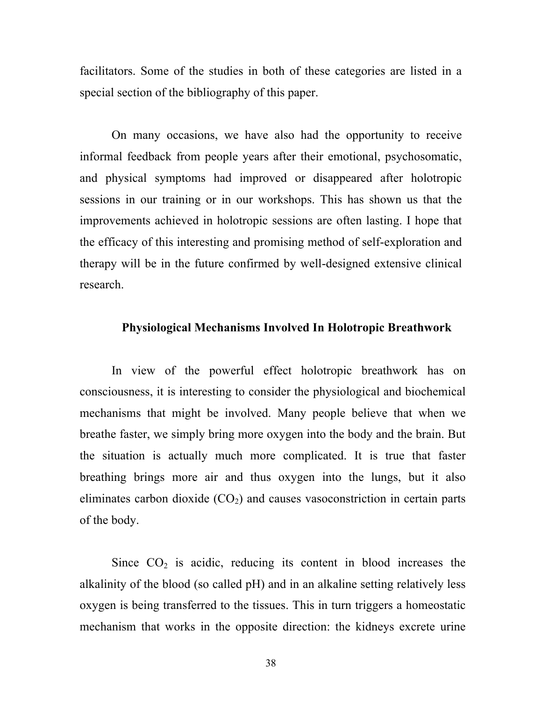facilitators. Some of the studies in both of these categories are listed in a special section of the bibliography of this paper.

On many occasions, we have also had the opportunity to receive informal feedback from people years after their emotional, psychosomatic, and physical symptoms had improved or disappeared after holotropic sessions in our training or in our workshops. This has shown us that the improvements achieved in holotropic sessions are often lasting. I hope that the efficacy of this interesting and promising method of self-exploration and therapy will be in the future confirmed by well-designed extensive clinical research.

# **Physiological Mechanisms Involved In Holotropic Breathwork**

In view of the powerful effect holotropic breathwork has on consciousness, it is interesting to consider the physiological and biochemical mechanisms that might be involved. Many people believe that when we breathe faster, we simply bring more oxygen into the body and the brain. But the situation is actually much more complicated. It is true that faster breathing brings more air and thus oxygen into the lungs, but it also eliminates carbon dioxide  $(CO_2)$  and causes vasoconstriction in certain parts of the body.

Since  $CO<sub>2</sub>$  is acidic, reducing its content in blood increases the alkalinity of the blood (so called pH) and in an alkaline setting relatively less oxygen is being transferred to the tissues. This in turn triggers a homeostatic mechanism that works in the opposite direction: the kidneys excrete urine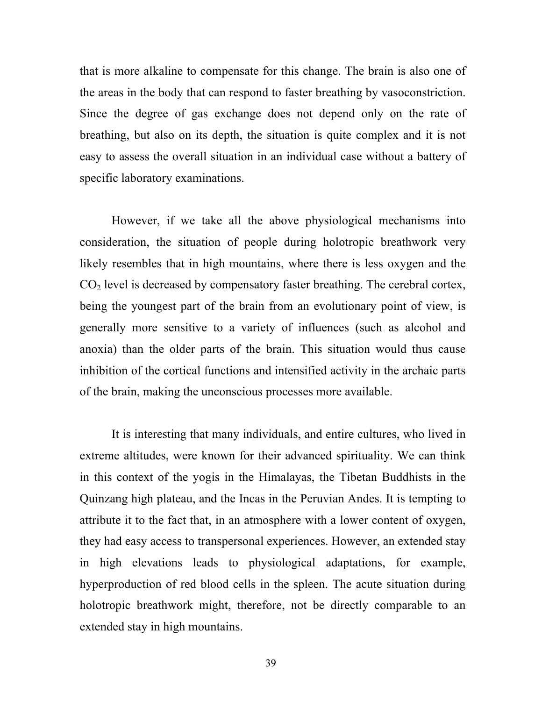that is more alkaline to compensate for this change. The brain is also one of the areas in the body that can respond to faster breathing by vasoconstriction. Since the degree of gas exchange does not depend only on the rate of breathing, but also on its depth, the situation is quite complex and it is not easy to assess the overall situation in an individual case without a battery of specific laboratory examinations.

However, if we take all the above physiological mechanisms into consideration, the situation of people during holotropic breathwork very likely resembles that in high mountains, where there is less oxygen and the  $CO<sub>2</sub>$  level is decreased by compensatory faster breathing. The cerebral cortex, being the youngest part of the brain from an evolutionary point of view, is generally more sensitive to a variety of influences (such as alcohol and anoxia) than the older parts of the brain. This situation would thus cause inhibition of the cortical functions and intensified activity in the archaic parts of the brain, making the unconscious processes more available.

It is interesting that many individuals, and entire cultures, who lived in extreme altitudes, were known for their advanced spirituality. We can think in this context of the yogis in the Himalayas, the Tibetan Buddhists in the Quinzang high plateau, and the Incas in the Peruvian Andes. It is tempting to attribute it to the fact that, in an atmosphere with a lower content of oxygen, they had easy access to transpersonal experiences. However, an extended stay in high elevations leads to physiological adaptations, for example, hyperproduction of red blood cells in the spleen. The acute situation during holotropic breathwork might, therefore, not be directly comparable to an extended stay in high mountains.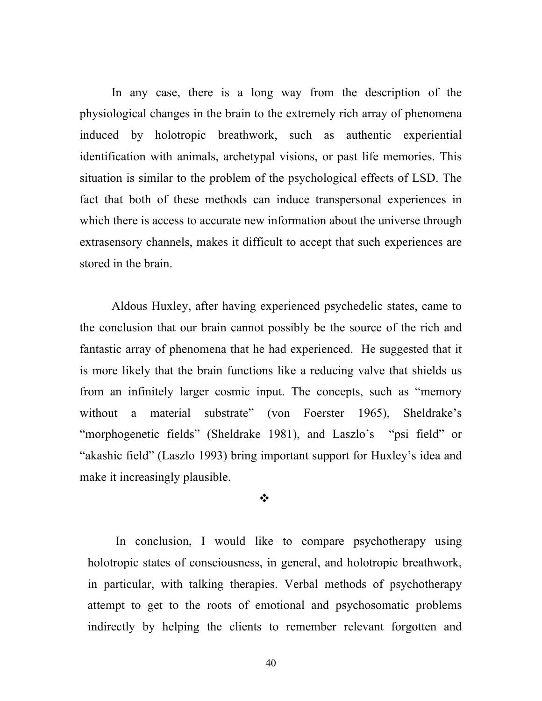In any case, there is a long way from the description of the physiological changes in the brain to the extremely rich array of phenomena induced by holotropic breathwork, such as authentic experiential identification with animals, archetypal visions, or past life memories. This situation is similar to the problem of the psychological effects of LSD. The fact that both of these methods can induce transpersonal experiences in which there is access to accurate new information about the universe through extrasensory channels, makes it difficult to accept that such experiences are stored in the brain.

Aldous Huxley, after having experienced psychedelic states, came to the conclusion that our brain cannot possibly be the source of the rich and fantastic array of phenomena that he had experienced. He suggested that it is more likely that the brain functions like a reducing valve that shields us from an infinitely larger cosmic input. The concepts, such as "memory without a material substrate" (von Foerster 1965), Sheldrake's "morphogenetic fields" (Sheldrake 1981), and Laszlo's "psi field" or "akashic field" (Laszlo 1993) bring important support for Huxley's idea and make it increasingly plausible.

#### ❖

In conclusion, I would like to compare psychotherapy using holotropic states of consciousness, in general, and holotropic breathwork, in particular, with talking therapies. Verbal methods of psychotherapy attempt to get to the roots of emotional and psychosomatic problems indirectly by helping the clients to remember relevant forgotten and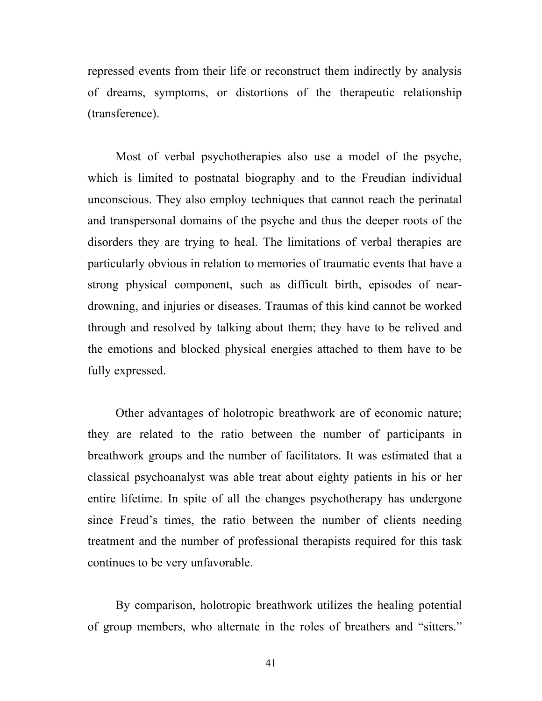repressed events from their life or reconstruct them indirectly by analysis of dreams, symptoms, or distortions of the therapeutic relationship (transference).

Most of verbal psychotherapies also use a model of the psyche, which is limited to postnatal biography and to the Freudian individual unconscious. They also employ techniques that cannot reach the perinatal and transpersonal domains of the psyche and thus the deeper roots of the disorders they are trying to heal. The limitations of verbal therapies are particularly obvious in relation to memories of traumatic events that have a strong physical component, such as difficult birth, episodes of neardrowning, and injuries or diseases. Traumas of this kind cannot be worked through and resolved by talking about them; they have to be relived and the emotions and blocked physical energies attached to them have to be fully expressed.

Other advantages of holotropic breathwork are of economic nature; they are related to the ratio between the number of participants in breathwork groups and the number of facilitators. It was estimated that a classical psychoanalyst was able treat about eighty patients in his or her entire lifetime. In spite of all the changes psychotherapy has undergone since Freud's times, the ratio between the number of clients needing treatment and the number of professional therapists required for this task continues to be very unfavorable.

By comparison, holotropic breathwork utilizes the healing potential of group members, who alternate in the roles of breathers and "sitters."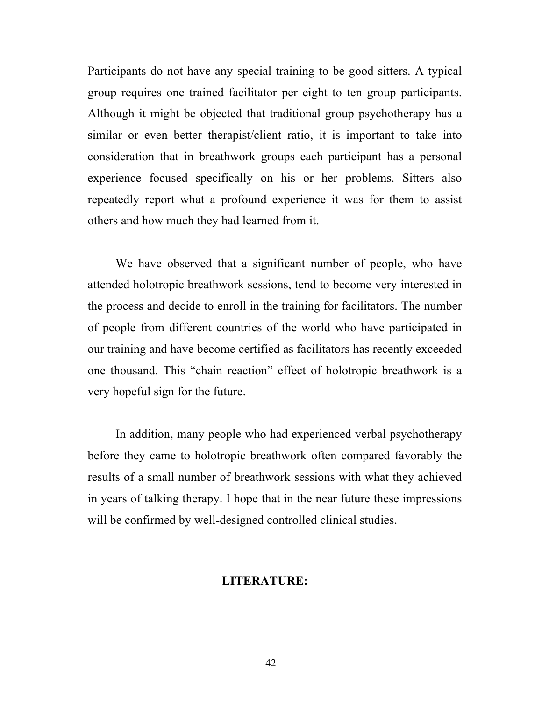Participants do not have any special training to be good sitters. A typical group requires one trained facilitator per eight to ten group participants. Although it might be objected that traditional group psychotherapy has a similar or even better therapist/client ratio, it is important to take into consideration that in breathwork groups each participant has a personal experience focused specifically on his or her problems. Sitters also repeatedly report what a profound experience it was for them to assist others and how much they had learned from it.

We have observed that a significant number of people, who have attended holotropic breathwork sessions, tend to become very interested in the process and decide to enroll in the training for facilitators. The number of people from different countries of the world who have participated in our training and have become certified as facilitators has recently exceeded one thousand. This "chain reaction" effect of holotropic breathwork is a very hopeful sign for the future.

In addition, many people who had experienced verbal psychotherapy before they came to holotropic breathwork often compared favorably the results of a small number of breathwork sessions with what they achieved in years of talking therapy. I hope that in the near future these impressions will be confirmed by well-designed controlled clinical studies.

## **LITERATURE:**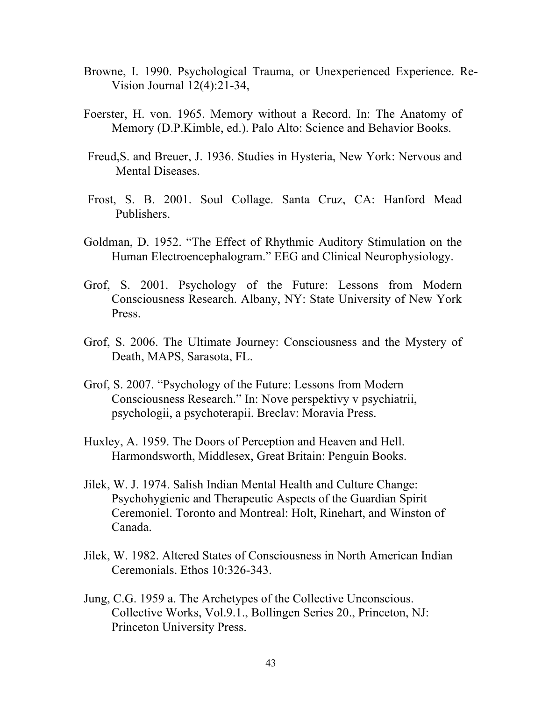- Browne, I. 1990. Psychological Trauma, or Unexperienced Experience. Re-Vision Journal 12(4):21-34,
- Foerster, H. von. 1965. Memory without a Record. In: The Anatomy of Memory (D.P.Kimble, ed.). Palo Alto: Science and Behavior Books.
- Freud,S. and Breuer, J. 1936. Studies in Hysteria, New York: Nervous and Mental Diseases.
- Frost, S. B. 2001. Soul Collage. Santa Cruz, CA: Hanford Mead Publishers.
- Goldman, D. 1952. "The Effect of Rhythmic Auditory Stimulation on the Human Electroencephalogram." EEG and Clinical Neurophysiology.
- Grof, S. 2001. Psychology of the Future: Lessons from Modern Consciousness Research. Albany, NY: State University of New York Press.
- Grof, S. 2006. The Ultimate Journey: Consciousness and the Mystery of Death, MAPS, Sarasota, FL.
- Grof, S. 2007. "Psychology of the Future: Lessons from Modern Consciousness Research." In: Nove perspektivy v psychiatrii, psychologii, a psychoterapii. Breclav: Moravia Press.
- Huxley, A. 1959. The Doors of Perception and Heaven and Hell. Harmondsworth, Middlesex, Great Britain: Penguin Books.
- Jilek, W. J. 1974. Salish Indian Mental Health and Culture Change: Psychohygienic and Therapeutic Aspects of the Guardian Spirit Ceremoniel. Toronto and Montreal: Holt, Rinehart, and Winston of Canada.
- Jilek, W. 1982. Altered States of Consciousness in North American Indian Ceremonials. Ethos 10:326-343.
- Jung, C.G. 1959 a. The Archetypes of the Collective Unconscious. Collective Works, Vol.9.1., Bollingen Series 20., Princeton, NJ: Princeton University Press.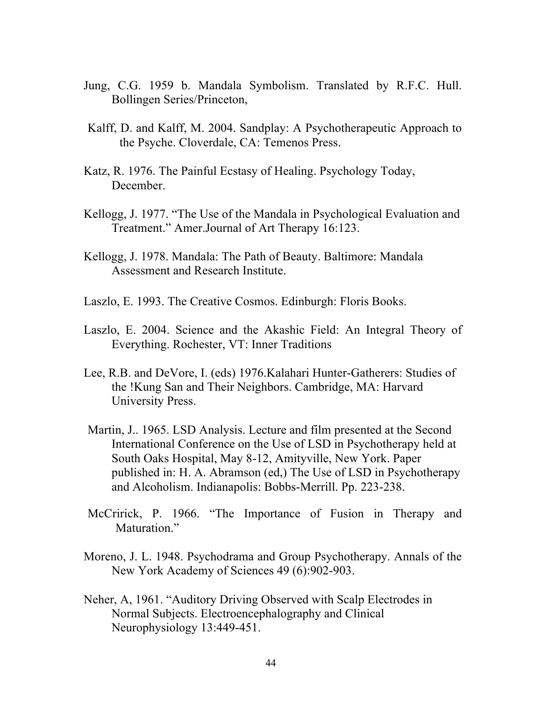- Jung, C.G. 1959 b. Mandala Symbolism. Translated by R.F.C. Hull. Bollingen Series/Princeton,
- Kalff, D. and Kalff, M. 2004. Sandplay: A Psychotherapeutic Approach to the Psyche. Cloverdale, CA: Temenos Press.
- Katz, R. 1976. The Painful Ecstasy of Healing. Psychology Today, December.
- Kellogg, J. 1977. "The Use of the Mandala in Psychological Evaluation and Treatment." Amer.Journal of Art Therapy 16:123.
- Kellogg, J. 1978. Mandala: The Path of Beauty. Baltimore: Mandala Assessment and Research Institute.
- Laszlo, E. 1993. The Creative Cosmos. Edinburgh: Floris Books.
- Laszlo, E. 2004. Science and the Akashic Field: An Integral Theory of Everything. Rochester, VT: Inner Traditions
- Lee, R.B. and DeVore, I. (eds) 1976.Kalahari Hunter-Gatherers: Studies of the !Kung San and Their Neighbors. Cambridge, MA: Harvard University Press.
- Martin, J.. 1965. LSD Analysis. Lecture and film presented at the Second International Conference on the Use of LSD in Psychotherapy held at South Oaks Hospital, May 8-12, Amityville, New York. Paper published in: H. A. Abramson (ed,) The Use of LSD in Psychotherapy and Alcoholism. Indianapolis: Bobbs-Merrill. Pp. 223-238.
- McCririck, P. 1966. "The Importance of Fusion in Therapy and Maturation."
- Moreno, J. L. 1948. Psychodrama and Group Psychotherapy. Annals of the New York Academy of Sciences 49 (6):902-903.
- Neher, A, 1961. "Auditory Driving Observed with Scalp Electrodes in Normal Subjects. Electroencephalography and Clinical Neurophysiology 13:449-451.